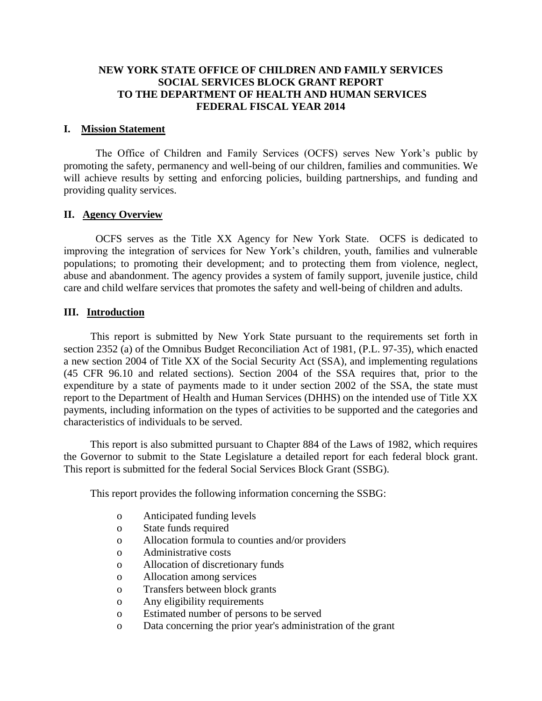## **NEW YORK STATE OFFICE OF CHILDREN AND FAMILY SERVICES SOCIAL SERVICES BLOCK GRANT REPORT TO THE DEPARTMENT OF HEALTH AND HUMAN SERVICES FEDERAL FISCAL YEAR 2014**

#### **I. Mission Statement**

The Office of Children and Family Services (OCFS) serves New York's public by promoting the safety, permanency and well-being of our children, families and communities. We will achieve results by setting and enforcing policies, building partnerships, and funding and providing quality services.

### **II. Agency Overview**

OCFS serves as the Title XX Agency for New York State. OCFS is dedicated to improving the integration of services for New York's children, youth, families and vulnerable populations; to promoting their development; and to protecting them from violence, neglect, abuse and abandonment. The agency provides a system of family support, juvenile justice, child care and child welfare services that promotes the safety and well-being of children and adults.

### **III. Introduction**

This report is submitted by New York State pursuant to the requirements set forth in section 2352 (a) of the Omnibus Budget Reconciliation Act of 1981, (P.L. 97-35), which enacted a new section 2004 of Title XX of the Social Security Act (SSA), and implementing regulations (45 CFR 96.10 and related sections). Section 2004 of the SSA requires that, prior to the expenditure by a state of payments made to it under section 2002 of the SSA, the state must report to the Department of Health and Human Services (DHHS) on the intended use of Title XX payments, including information on the types of activities to be supported and the categories and characteristics of individuals to be served.

This report is also submitted pursuant to Chapter 884 of the Laws of 1982, which requires the Governor to submit to the State Legislature a detailed report for each federal block grant. This report is submitted for the federal Social Services Block Grant (SSBG).

This report provides the following information concerning the SSBG:

- o Anticipated funding levels
- o State funds required
- o Allocation formula to counties and/or providers
- o Administrative costs
- o Allocation of discretionary funds
- o Allocation among services
- o Transfers between block grants
- o Any eligibility requirements
- o Estimated number of persons to be served
- o Data concerning the prior year's administration of the grant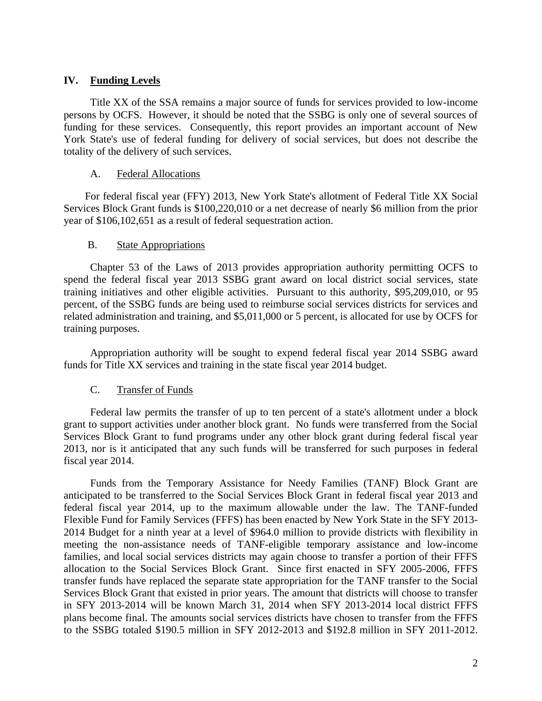## **IV. Funding Levels**

Title XX of the SSA remains a major source of funds for services provided to low-income persons by OCFS. However, it should be noted that the SSBG is only one of several sources of funding for these services. Consequently, this report provides an important account of New York State's use of federal funding for delivery of social services, but does not describe the totality of the delivery of such services.

## A. Federal Allocations

For federal fiscal year (FFY) 2013, New York State's allotment of Federal Title XX Social Services Block Grant funds is \$100,220,010 or a net decrease of nearly \$6 million from the prior year of \$106,102,651 as a result of federal sequestration action.

### B. State Appropriations

Chapter 53 of the Laws of 2013 provides appropriation authority permitting OCFS to spend the federal fiscal year 2013 SSBG grant award on local district social services, state training initiatives and other eligible activities. Pursuant to this authority, \$95,209,010, or 95 percent, of the SSBG funds are being used to reimburse social services districts for services and related administration and training, and \$5,011,000 or 5 percent, is allocated for use by OCFS for training purposes.

Appropriation authority will be sought to expend federal fiscal year 2014 SSBG award funds for Title XX services and training in the state fiscal year 2014 budget.

## C. Transfer of Funds

Federal law permits the transfer of up to ten percent of a state's allotment under a block grant to support activities under another block grant. No funds were transferred from the Social Services Block Grant to fund programs under any other block grant during federal fiscal year 2013, nor is it anticipated that any such funds will be transferred for such purposes in federal fiscal year 2014.

Funds from the Temporary Assistance for Needy Families (TANF) Block Grant are anticipated to be transferred to the Social Services Block Grant in federal fiscal year 2013 and federal fiscal year 2014, up to the maximum allowable under the law. The TANF-funded Flexible Fund for Family Services (FFFS) has been enacted by New York State in the SFY 2013- 2014 Budget for a ninth year at a level of \$964.0 million to provide districts with flexibility in meeting the non-assistance needs of TANF-eligible temporary assistance and low-income families, and local social services districts may again choose to transfer a portion of their FFFS allocation to the Social Services Block Grant. Since first enacted in SFY 2005-2006, FFFS transfer funds have replaced the separate state appropriation for the TANF transfer to the Social Services Block Grant that existed in prior years. The amount that districts will choose to transfer in SFY 2013-2014 will be known March 31, 2014 when SFY 2013-2014 local district FFFS plans become final. The amounts social services districts have chosen to transfer from the FFFS to the SSBG totaled \$190.5 million in SFY 2012-2013 and \$192.8 million in SFY 2011-2012.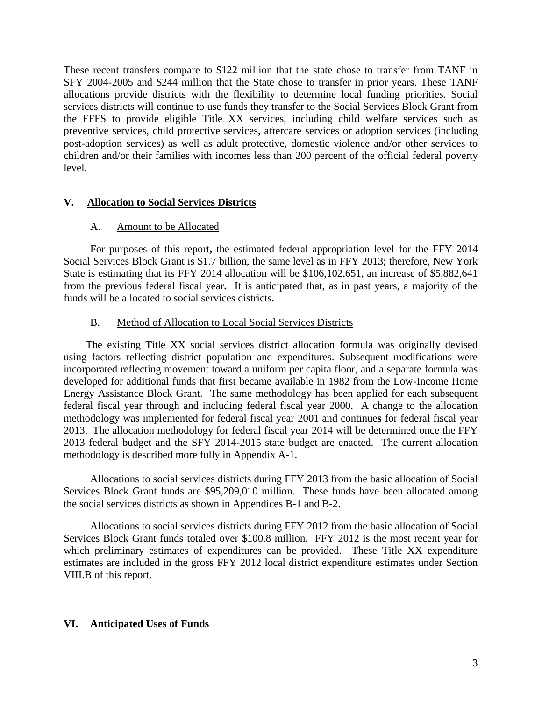These recent transfers compare to \$122 million that the state chose to transfer from TANF in SFY 2004-2005 and \$244 million that the State chose to transfer in prior years. These TANF allocations provide districts with the flexibility to determine local funding priorities. Social services districts will continue to use funds they transfer to the Social Services Block Grant from the FFFS to provide eligible Title XX services, including child welfare services such as preventive services, child protective services, aftercare services or adoption services (including post-adoption services) as well as adult protective, domestic violence and/or other services to children and/or their families with incomes less than 200 percent of the official federal poverty level.

## **V. Allocation to Social Services Districts**

### A. Amount to be Allocated

For purposes of this report**,** the estimated federal appropriation level for the FFY 2014 Social Services Block Grant is \$1.7 billion, the same level as in FFY 2013; therefore, New York State is estimating that its FFY 2014 allocation will be \$106,102,651, an increase of \$5,882,641 from the previous federal fiscal year**.** It is anticipated that, as in past years, a majority of the funds will be allocated to social services districts.

### B. Method of Allocation to Local Social Services Districts

 The existing Title XX social services district allocation formula was originally devised using factors reflecting district population and expenditures. Subsequent modifications were incorporated reflecting movement toward a uniform per capita floor, and a separate formula was developed for additional funds that first became available in 1982 from the Low-Income Home Energy Assistance Block Grant. The same methodology has been applied for each subsequent federal fiscal year through and including federal fiscal year 2000. A change to the allocation methodology was implemented for federal fiscal year 2001 and continue**s** for federal fiscal year 2013. The allocation methodology for federal fiscal year 2014 will be determined once the FFY 2013 federal budget and the SFY 2014-2015 state budget are enacted. The current allocation methodology is described more fully in Appendix A-1.

Allocations to social services districts during FFY 2013 from the basic allocation of Social Services Block Grant funds are \$95,209,010 million. These funds have been allocated among the social services districts as shown in Appendices B-1 and B-2.

Allocations to social services districts during FFY 2012 from the basic allocation of Social Services Block Grant funds totaled over \$100.8 million. FFY 2012 is the most recent year for which preliminary estimates of expenditures can be provided. These Title XX expenditure estimates are included in the gross FFY 2012 local district expenditure estimates under Section VIII.B of this report.

## **VI. Anticipated Uses of Funds**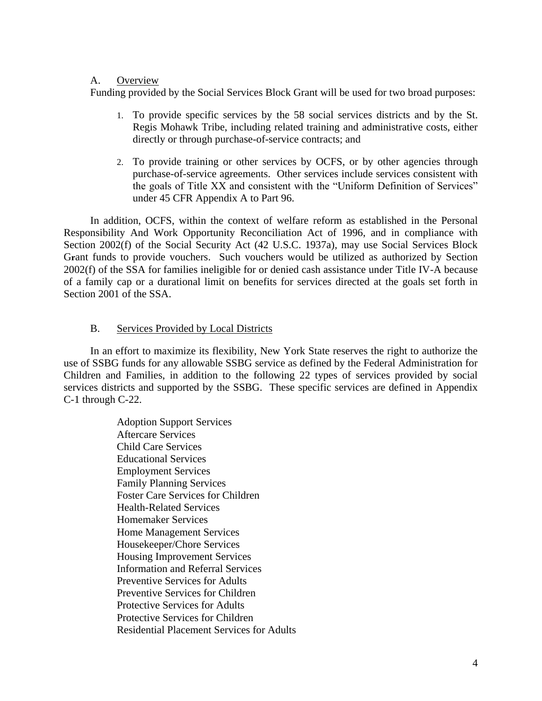## A. Overview

Funding provided by the Social Services Block Grant will be used for two broad purposes:

- 1. To provide specific services by the 58 social services districts and by the St. Regis Mohawk Tribe, including related training and administrative costs, either directly or through purchase-of-service contracts; and
- 2. To provide training or other services by OCFS, or by other agencies through purchase-of-service agreements. Other services include services consistent with the goals of Title XX and consistent with the "Uniform Definition of Services" under 45 CFR Appendix A to Part 96.

In addition, OCFS, within the context of welfare reform as established in the Personal Responsibility And Work Opportunity Reconciliation Act of 1996, and in compliance with Section 2002(f) of the Social Security Act (42 U.S.C. 1937a), may use Social Services Block Grant funds to provide vouchers. Such vouchers would be utilized as authorized by Section 2002(f) of the SSA for families ineligible for or denied cash assistance under Title IV-A because of a family cap or a durational limit on benefits for services directed at the goals set forth in Section 2001 of the SSA.

## B. Services Provided by Local Districts

In an effort to maximize its flexibility, New York State reserves the right to authorize the use of SSBG funds for any allowable SSBG service as defined by the Federal Administration for Children and Families, in addition to the following 22 types of services provided by social services districts and supported by the SSBG. These specific services are defined in Appendix C-1 through C-22.

> Adoption Support Services Aftercare Services Child Care Services Educational Services Employment Services Family Planning Services Foster Care Services for Children Health-Related Services Homemaker Services Home Management Services Housekeeper/Chore Services Housing Improvement Services Information and Referral Services Preventive Services for Adults Preventive Services for Children Protective Services for Adults Protective Services for Children Residential Placement Services for Adults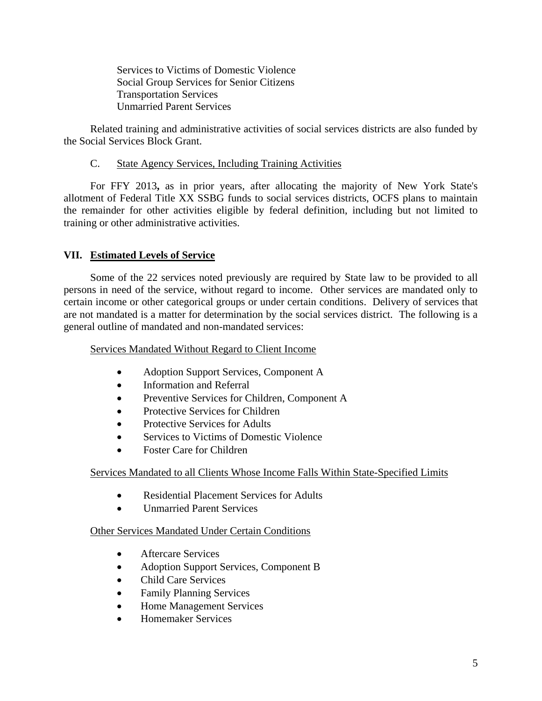Services to Victims of Domestic Violence Social Group Services for Senior Citizens Transportation Services Unmarried Parent Services

Related training and administrative activities of social services districts are also funded by the Social Services Block Grant.

## C. State Agency Services, Including Training Activities

For FFY 2013**,** as in prior years, after allocating the majority of New York State's allotment of Federal Title XX SSBG funds to social services districts, OCFS plans to maintain the remainder for other activities eligible by federal definition, including but not limited to training or other administrative activities.

## **VII. Estimated Levels of Service**

Some of the 22 services noted previously are required by State law to be provided to all persons in need of the service, without regard to income. Other services are mandated only to certain income or other categorical groups or under certain conditions. Delivery of services that are not mandated is a matter for determination by the social services district. The following is a general outline of mandated and non-mandated services:

Services Mandated Without Regard to Client Income

- Adoption Support Services, Component A
- Information and Referral
- Preventive Services for Children, Component A
- Protective Services for Children
- Protective Services for Adults
- Services to Victims of Domestic Violence
- Foster Care for Children

## Services Mandated to all Clients Whose Income Falls Within State-Specified Limits

- Residential Placement Services for Adults
- **•** Unmarried Parent Services

## Other Services Mandated Under Certain Conditions

- Aftercare Services
- Adoption Support Services, Component B
- Child Care Services
- Family Planning Services
- Home Management Services
- Homemaker Services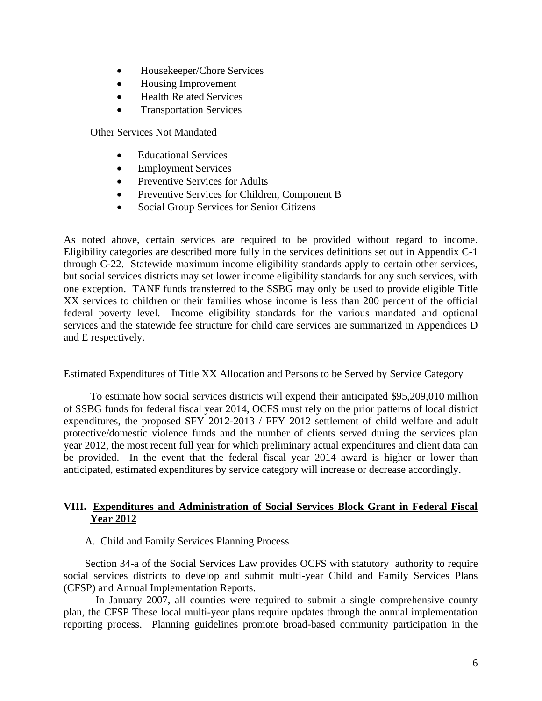- Housekeeper/Chore Services
- Housing Improvement
- Health Related Services
- Transportation Services

## Other Services Not Mandated

- Educational Services
- Employment Services
- Preventive Services for Adults
- Preventive Services for Children, Component B
- Social Group Services for Senior Citizens

As noted above, certain services are required to be provided without regard to income. Eligibility categories are described more fully in the services definitions set out in Appendix C-1 through C-22. Statewide maximum income eligibility standards apply to certain other services, but social services districts may set lower income eligibility standards for any such services, with one exception. TANF funds transferred to the SSBG may only be used to provide eligible Title XX services to children or their families whose income is less than 200 percent of the official federal poverty level. Income eligibility standards for the various mandated and optional services and the statewide fee structure for child care services are summarized in Appendices D and E respectively.

### Estimated Expenditures of Title XX Allocation and Persons to be Served by Service Category

To estimate how social services districts will expend their anticipated \$95,209,010 million of SSBG funds for federal fiscal year 2014, OCFS must rely on the prior patterns of local district expenditures, the proposed SFY 2012-2013 / FFY 2012 settlement of child welfare and adult protective/domestic violence funds and the number of clients served during the services plan year 2012, the most recent full year for which preliminary actual expenditures and client data can be provided. In the event that the federal fiscal year 2014 award is higher or lower than anticipated, estimated expenditures by service category will increase or decrease accordingly.

## **VIII. Expenditures and Administration of Social Services Block Grant in Federal Fiscal Year 2012**

### A. Child and Family Services Planning Process

Section 34-a of the Social Services Law provides OCFS with statutory authority to require social services districts to develop and submit multi-year Child and Family Services Plans (CFSP) and Annual Implementation Reports.

In January 2007, all counties were required to submit a single comprehensive county plan, the CFSP These local multi-year plans require updates through the annual implementation reporting process. Planning guidelines promote broad-based community participation in the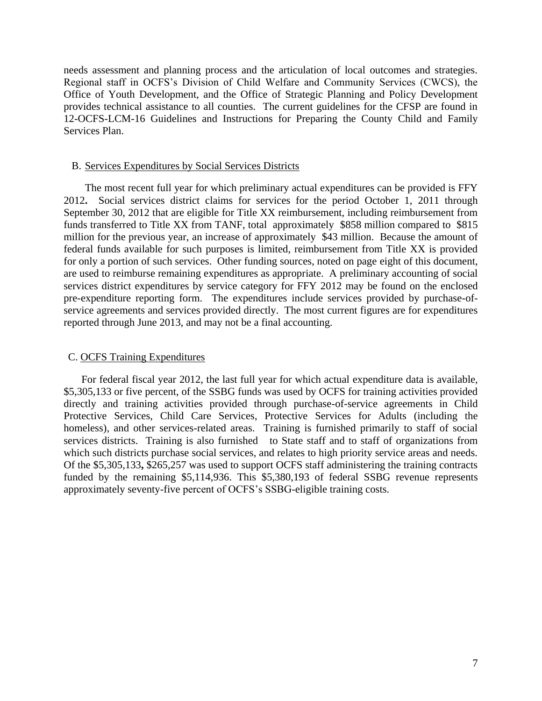needs assessment and planning process and the articulation of local outcomes and strategies. Regional staff in OCFS's Division of Child Welfare and Community Services (CWCS), the Office of Youth Development, and the Office of Strategic Planning and Policy Development provides technical assistance to all counties. The current guidelines for the CFSP are found in 12-OCFS-LCM-16 Guidelines and Instructions for Preparing the County Child and Family Services Plan.

#### B. Services Expenditures by Social Services Districts

The most recent full year for which preliminary actual expenditures can be provided is FFY 2012**.** Social services district claims for services for the period October 1, 2011 through September 30, 2012 that are eligible for Title XX reimbursement, including reimbursement from funds transferred to Title XX from TANF, total approximately \$858 million compared to \$815 million for the previous year, an increase of approximately \$43 million. Because the amount of federal funds available for such purposes is limited, reimbursement from Title XX is provided for only a portion of such services. Other funding sources, noted on page eight of this document, are used to reimburse remaining expenditures as appropriate. A preliminary accounting of social services district expenditures by service category for FFY 2012 may be found on the enclosed pre-expenditure reporting form. The expenditures include services provided by purchase-ofservice agreements and services provided directly. The most current figures are for expenditures reported through June 2013, and may not be a final accounting.

#### C. OCFS Training Expenditures

 For federal fiscal year 2012, the last full year for which actual expenditure data is available, \$5,305,133 or five percent, of the SSBG funds was used by OCFS for training activities provided directly and training activities provided through purchase-of-service agreements in Child Protective Services, Child Care Services, Protective Services for Adults (including the homeless), and other services-related areas. Training is furnished primarily to staff of social services districts. Training is also furnished to State staff and to staff of organizations from which such districts purchase social services, and relates to high priority service areas and needs. Of the \$5,305,133**,** \$265,257 was used to support OCFS staff administering the training contracts funded by the remaining \$5,114,936. This \$5,380,193 of federal SSBG revenue represents approximately seventy-five percent of OCFS's SSBG-eligible training costs.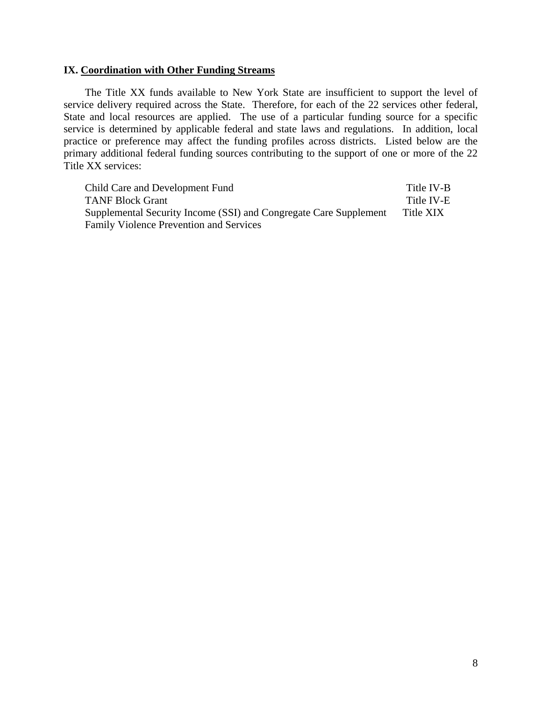#### **IX. Coordination with Other Funding Streams**

The Title XX funds available to New York State are insufficient to support the level of service delivery required across the State. Therefore, for each of the 22 services other federal, State and local resources are applied. The use of a particular funding source for a specific service is determined by applicable federal and state laws and regulations. In addition, local practice or preference may affect the funding profiles across districts. Listed below are the primary additional federal funding sources contributing to the support of one or more of the 22 Title XX services:

Child Care and Development Fund Title IV-B TANF Block Grant Title IV-E Supplemental Security Income (SSI) and Congregate Care Supplement Title XIX Family Violence Prevention and Services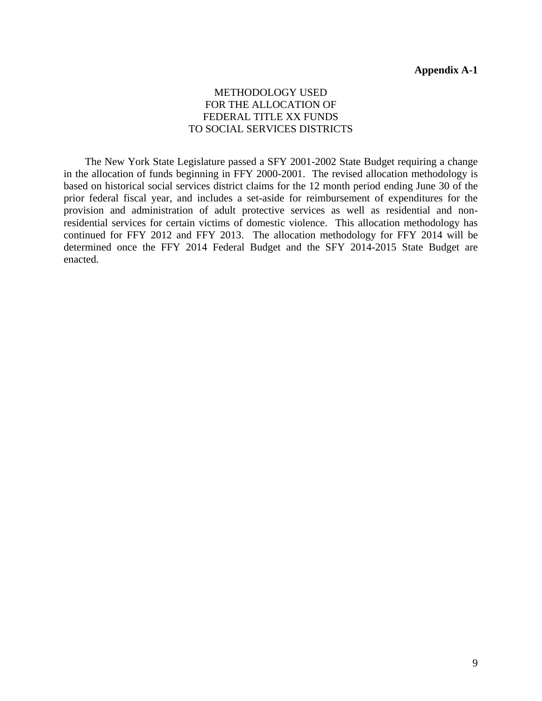## METHODOLOGY USED FOR THE ALLOCATION OF FEDERAL TITLE XX FUNDS TO SOCIAL SERVICES DISTRICTS

The New York State Legislature passed a SFY 2001-2002 State Budget requiring a change in the allocation of funds beginning in FFY 2000-2001. The revised allocation methodology is based on historical social services district claims for the 12 month period ending June 30 of the prior federal fiscal year, and includes a set-aside for reimbursement of expenditures for the provision and administration of adult protective services as well as residential and nonresidential services for certain victims of domestic violence. This allocation methodology has continued for FFY 2012 and FFY 2013. The allocation methodology for FFY 2014 will be determined once the FFY 2014 Federal Budget and the SFY 2014-2015 State Budget are enacted.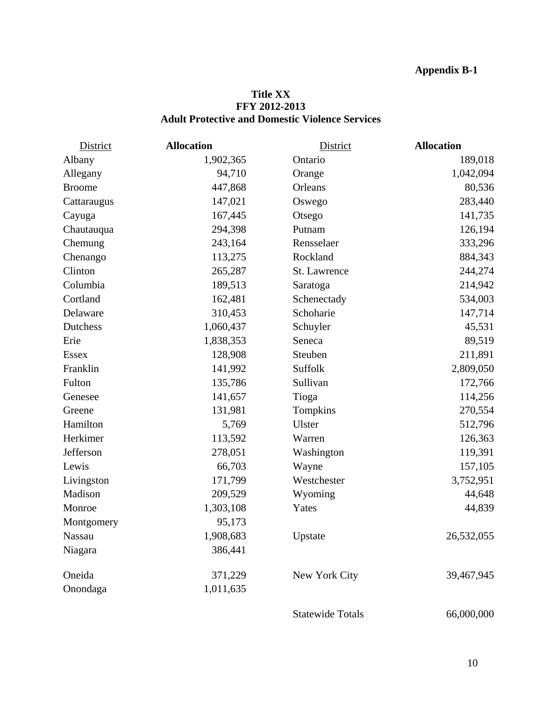## **Title XX FFY 2012-2013 Adult Protective and Domestic Violence Services**

| <b>District</b> | <b>Allocation</b> | <b>District</b>         | <b>Allocation</b> |
|-----------------|-------------------|-------------------------|-------------------|
| Albany          | 1,902,365         | Ontario                 | 189,018           |
| Allegany        | 94,710            | Orange                  | 1,042,094         |
| <b>Broome</b>   | 447,868           | Orleans                 | 80,536            |
| Cattaraugus     | 147,021           | Oswego                  | 283,440           |
| Cayuga          | 167,445           | Otsego                  | 141,735           |
| Chautauqua      | 294,398           | Putnam                  | 126,194           |
| Chemung         | 243,164           | Rensselaer              | 333,296           |
| Chenango        | 113,275           | Rockland                | 884,343           |
| Clinton         | 265,287           | St. Lawrence            | 244,274           |
| Columbia        | 189,513           | Saratoga                | 214,942           |
| Cortland        | 162,481           | Schenectady             | 534,003           |
| Delaware        | 310,453           | Schoharie               | 147,714           |
| Dutchess        | 1,060,437         | Schuyler                | 45,531            |
| Erie            | 1,838,353         | Seneca                  | 89,519            |
| <b>Essex</b>    | 128,908           | Steuben                 | 211,891           |
| Franklin        | 141,992           | Suffolk                 | 2,809,050         |
| Fulton          | 135,786           | Sullivan                | 172,766           |
| Genesee         | 141,657           | Tioga                   | 114,256           |
| Greene          | 131,981           | Tompkins                | 270,554           |
| Hamilton        | 5,769             | Ulster                  | 512,796           |
| Herkimer        | 113,592           | Warren                  | 126,363           |
| Jefferson       | 278,051           | Washington              | 119,391           |
| Lewis           | 66,703            | Wayne                   | 157,105           |
| Livingston      | 171,799           | Westchester             | 3,752,951         |
| Madison         | 209,529           | Wyoming                 | 44,648            |
| Monroe          | 1,303,108         | Yates                   | 44,839            |
| Montgomery      | 95,173            |                         |                   |
| <b>Nassau</b>   | 1,908,683         | Upstate                 | 26,532,055        |
| Niagara         | 386,441           |                         |                   |
| Oneida          | 371,229           | New York City           | 39,467,945        |
| Onondaga        | 1,011,635         |                         |                   |
|                 |                   | <b>Statewide Totals</b> | 66,000,000        |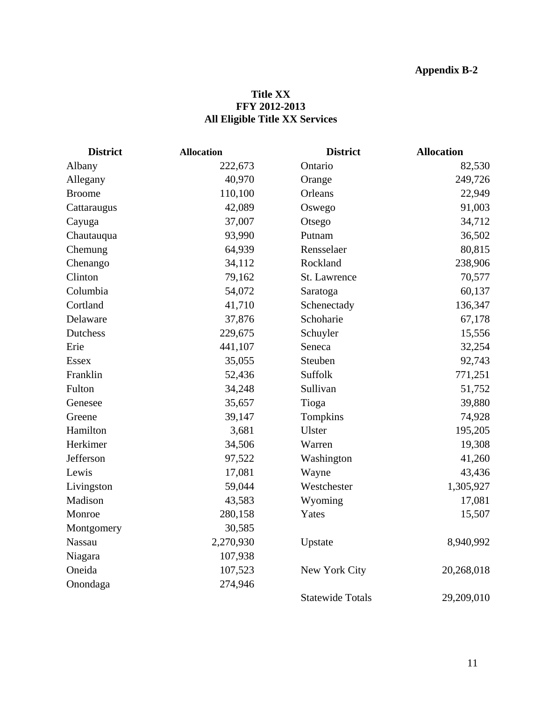## **Title XX FFY 2012-2013 All Eligible Title XX Services**

| <b>District</b> | <b>Allocation</b> | <b>District</b>          | <b>Allocation</b> |
|-----------------|-------------------|--------------------------|-------------------|
| Albany          | 222,673           | Ontario                  | 82,530            |
| Allegany        | 40,970            | Orange                   | 249,726           |
| <b>Broome</b>   | 110,100           | Orleans                  | 22,949            |
| Cattaraugus     | 42,089            | Oswego                   | 91,003            |
| Cayuga          | 37,007            | Otsego                   | 34,712            |
| Chautauqua      | 93,990            | Putnam                   | 36,502            |
| Chemung         | 64,939            | Rensselaer               | 80,815            |
| Chenango        | 34,112            | Rockland                 | 238,906           |
| Clinton         | 79,162            | St. Lawrence             | 70,577            |
| Columbia        | 54,072            | Saratoga                 | 60,137            |
| Cortland        | 41,710            | Schenectady              | 136,347           |
| Delaware        | 37,876            | Schoharie                | 67,178            |
| Dutchess        | 229,675           | Schuyler                 | 15,556            |
| Erie            | 441,107           | Seneca                   | 32,254            |
| <b>Essex</b>    | 35,055            | Steuben                  | 92,743            |
| Franklin        | 52,436            | Suffolk                  | 771,251           |
| Fulton          | 34,248            | Sullivan                 | 51,752            |
| Genesee         | 35,657            | Tioga                    | 39,880            |
| Greene          | 39,147            | Tompkins                 | 74,928            |
| Hamilton        | 3,681             | Ulster                   | 195,205           |
| Herkimer        | 34,506            | Warren                   | 19,308            |
| Jefferson       | 97,522            | Washington               | 41,260            |
| Lewis           | 17,081            | 43,436<br>Wayne          |                   |
| Livingston      | 59,044            | Westchester<br>1,305,927 |                   |
| Madison         | 43,583            | Wyoming<br>17,081        |                   |
| Monroe          | 280,158           | Yates                    | 15,507            |
| Montgomery      | 30,585            |                          |                   |
| <b>Nassau</b>   | 2,270,930         | Upstate                  | 8,940,992         |
| Niagara         | 107,938           |                          |                   |
| Oneida          | 107,523           | New York City            | 20,268,018        |
| Onondaga        | 274,946           |                          |                   |
|                 |                   | <b>Statewide Totals</b>  | 29,209,010        |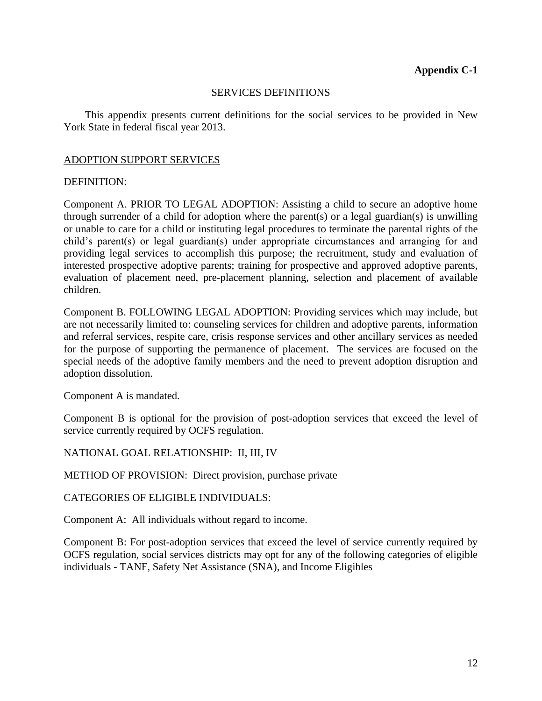### SERVICES DEFINITIONS

This appendix presents current definitions for the social services to be provided in New York State in federal fiscal year 2013.

## ADOPTION SUPPORT SERVICES

## DEFINITION:

Component A. PRIOR TO LEGAL ADOPTION: Assisting a child to secure an adoptive home through surrender of a child for adoption where the parent(s) or a legal guardian(s) is unwilling or unable to care for a child or instituting legal procedures to terminate the parental rights of the child's parent(s) or legal guardian(s) under appropriate circumstances and arranging for and providing legal services to accomplish this purpose; the recruitment, study and evaluation of interested prospective adoptive parents; training for prospective and approved adoptive parents, evaluation of placement need, pre-placement planning, selection and placement of available children.

Component B. FOLLOWING LEGAL ADOPTION: Providing services which may include, but are not necessarily limited to: counseling services for children and adoptive parents, information and referral services, respite care, crisis response services and other ancillary services as needed for the purpose of supporting the permanence of placement. The services are focused on the special needs of the adoptive family members and the need to prevent adoption disruption and adoption dissolution.

Component A is mandated.

Component B is optional for the provision of post-adoption services that exceed the level of service currently required by OCFS regulation.

NATIONAL GOAL RELATIONSHIP: II, III, IV

METHOD OF PROVISION: Direct provision, purchase private

### CATEGORIES OF ELIGIBLE INDIVIDUALS:

Component A: All individuals without regard to income.

Component B: For post-adoption services that exceed the level of service currently required by OCFS regulation, social services districts may opt for any of the following categories of eligible individuals - TANF, Safety Net Assistance (SNA), and Income Eligibles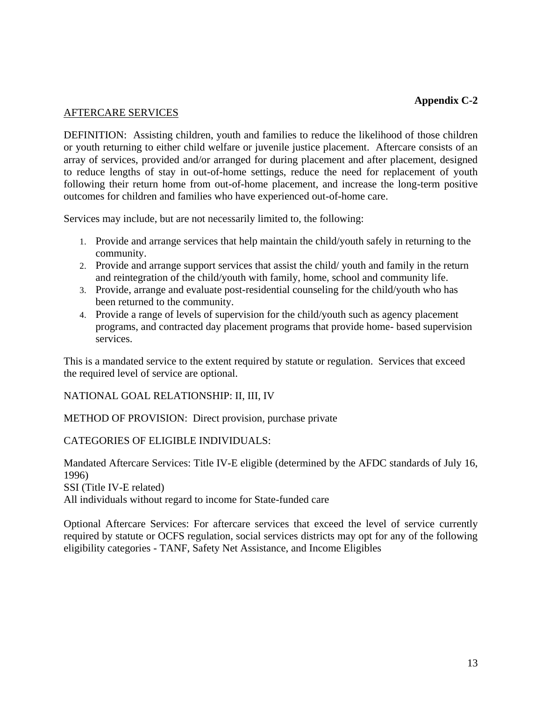### AFTERCARE SERVICES

DEFINITION: Assisting children, youth and families to reduce the likelihood of those children or youth returning to either child welfare or juvenile justice placement. Aftercare consists of an array of services, provided and/or arranged for during placement and after placement, designed to reduce lengths of stay in out-of-home settings, reduce the need for replacement of youth following their return home from out-of-home placement, and increase the long-term positive outcomes for children and families who have experienced out-of-home care.

Services may include, but are not necessarily limited to, the following:

- 1. Provide and arrange services that help maintain the child/youth safely in returning to the community.
- 2. Provide and arrange support services that assist the child/ youth and family in the return and reintegration of the child/youth with family, home, school and community life.
- 3. Provide, arrange and evaluate post-residential counseling for the child/youth who has been returned to the community.
- 4. Provide a range of levels of supervision for the child/youth such as agency placement programs, and contracted day placement programs that provide home- based supervision services.

This is a mandated service to the extent required by statute or regulation. Services that exceed the required level of service are optional.

NATIONAL GOAL RELATIONSHIP: II, III, IV

METHOD OF PROVISION: Direct provision, purchase private

CATEGORIES OF ELIGIBLE INDIVIDUALS:

Mandated Aftercare Services: Title IV-E eligible (determined by the AFDC standards of July 16, 1996) SSI (Title IV-E related) All individuals without regard to income for State-funded care

Optional Aftercare Services: For aftercare services that exceed the level of service currently required by statute or OCFS regulation, social services districts may opt for any of the following eligibility categories - TANF, Safety Net Assistance, and Income Eligibles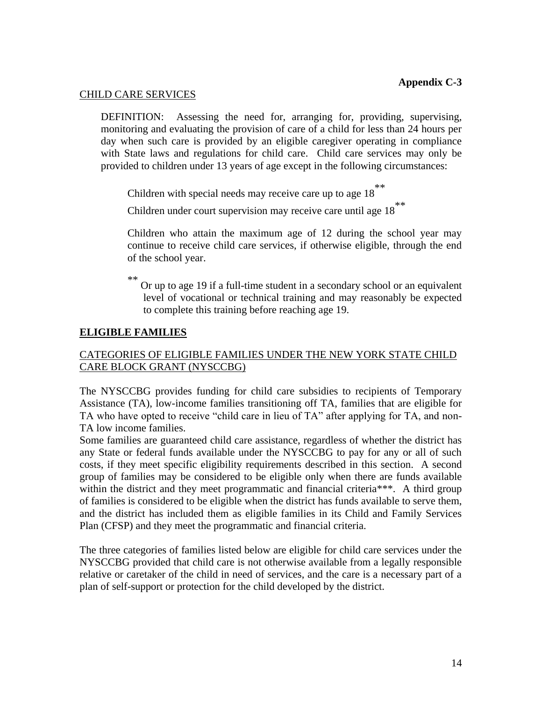## CHILD CARE SERVICES

DEFINITION: Assessing the need for, arranging for, providing, supervising, monitoring and evaluating the provision of care of a child for less than 24 hours per day when such care is provided by an eligible caregiver operating in compliance with State laws and regulations for child care. Child care services may only be provided to children under 13 years of age except in the following circumstances:

Children with special needs may receive care up to age  $18$ <sup>\*\*</sup>

Children under court supervision may receive care until age  $18$ <sup>\*\*</sup>

Children who attain the maximum age of 12 during the school year may continue to receive child care services, if otherwise eligible, through the end of the school year.

Or up to age 19 if a full-time student in a secondary school or an equivalent level of vocational or technical training and may reasonably be expected to complete this training before reaching age 19.

## **ELIGIBLE FAMILIES**

## CATEGORIES OF ELIGIBLE FAMILIES UNDER THE NEW YORK STATE CHILD CARE BLOCK GRANT (NYSCCBG)

The NYSCCBG provides funding for child care subsidies to recipients of Temporary Assistance (TA), low-income families transitioning off TA, families that are eligible for TA who have opted to receive "child care in lieu of TA" after applying for TA, and non-TA low income families.

Some families are guaranteed child care assistance, regardless of whether the district has any State or federal funds available under the NYSCCBG to pay for any or all of such costs, if they meet specific eligibility requirements described in this section. A second group of families may be considered to be eligible only when there are funds available within the district and they meet programmatic and financial criteria\*\*\*. A third group of families is considered to be eligible when the district has funds available to serve them, and the district has included them as eligible families in its Child and Family Services Plan (CFSP) and they meet the programmatic and financial criteria.

The three categories of families listed below are eligible for child care services under the NYSCCBG provided that child care is not otherwise available from a legally responsible relative or caretaker of the child in need of services, and the care is a necessary part of a plan of self-support or protection for the child developed by the district.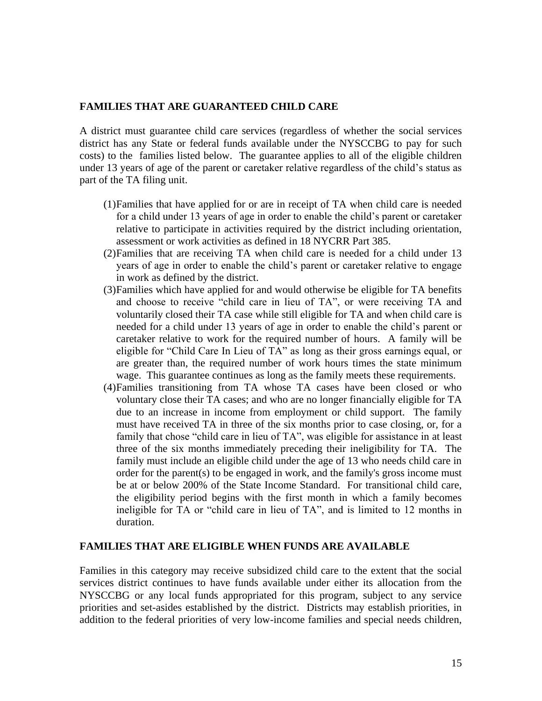### **FAMILIES THAT ARE GUARANTEED CHILD CARE**

A district must guarantee child care services (regardless of whether the social services district has any State or federal funds available under the NYSCCBG to pay for such costs) to the families listed below. The guarantee applies to all of the eligible children under 13 years of age of the parent or caretaker relative regardless of the child's status as part of the TA filing unit.

- (1)Families that have applied for or are in receipt of TA when child care is needed for a child under 13 years of age in order to enable the child's parent or caretaker relative to participate in activities required by the district including orientation, assessment or work activities as defined in 18 NYCRR Part 385.
- (2)Families that are receiving TA when child care is needed for a child under 13 years of age in order to enable the child's parent or caretaker relative to engage in work as defined by the district.
- (3)Families which have applied for and would otherwise be eligible for TA benefits and choose to receive "child care in lieu of TA", or were receiving TA and voluntarily closed their TA case while still eligible for TA and when child care is needed for a child under 13 years of age in order to enable the child's parent or caretaker relative to work for the required number of hours. A family will be eligible for "Child Care In Lieu of TA" as long as their gross earnings equal, or are greater than, the required number of work hours times the state minimum wage. This guarantee continues as long as the family meets these requirements.
- (4)Families transitioning from TA whose TA cases have been closed or who voluntary close their TA cases; and who are no longer financially eligible for TA due to an increase in income from employment or child support. The family must have received TA in three of the six months prior to case closing, or, for a family that chose "child care in lieu of TA", was eligible for assistance in at least three of the six months immediately preceding their ineligibility for TA. The family must include an eligible child under the age of 13 who needs child care in order for the parent(s) to be engaged in work, and the family's gross income must be at or below 200% of the State Income Standard. For transitional child care, the eligibility period begins with the first month in which a family becomes ineligible for TA or "child care in lieu of TA", and is limited to 12 months in duration.

#### **FAMILIES THAT ARE ELIGIBLE WHEN FUNDS ARE AVAILABLE**

Families in this category may receive subsidized child care to the extent that the social services district continues to have funds available under either its allocation from the NYSCCBG or any local funds appropriated for this program, subject to any service priorities and set-asides established by the district. Districts may establish priorities, in addition to the federal priorities of very low-income families and special needs children,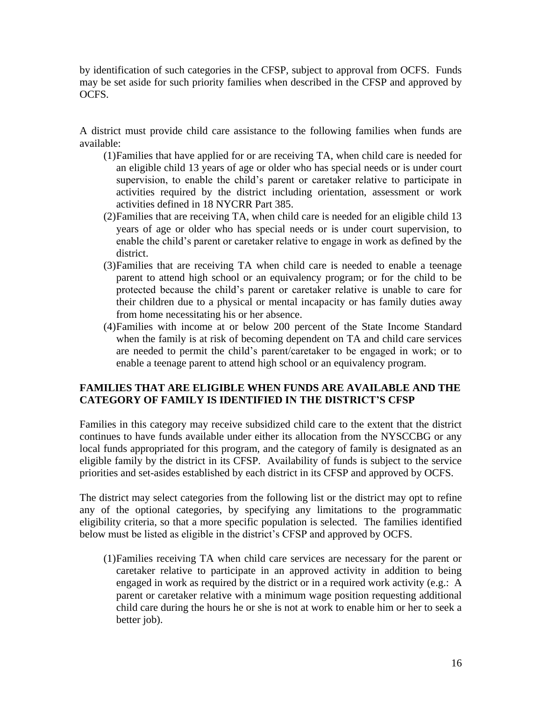by identification of such categories in the CFSP, subject to approval from OCFS. Funds may be set aside for such priority families when described in the CFSP and approved by OCFS.

A district must provide child care assistance to the following families when funds are available:

- (1)Families that have applied for or are receiving TA, when child care is needed for an eligible child 13 years of age or older who has special needs or is under court supervision, to enable the child's parent or caretaker relative to participate in activities required by the district including orientation, assessment or work activities defined in 18 NYCRR Part 385.
- (2)Families that are receiving TA, when child care is needed for an eligible child 13 years of age or older who has special needs or is under court supervision, to enable the child's parent or caretaker relative to engage in work as defined by the district.
- (3)Families that are receiving TA when child care is needed to enable a teenage parent to attend high school or an equivalency program; or for the child to be protected because the child's parent or caretaker relative is unable to care for their children due to a physical or mental incapacity or has family duties away from home necessitating his or her absence.
- (4)Families with income at or below 200 percent of the State Income Standard when the family is at risk of becoming dependent on TA and child care services are needed to permit the child's parent/caretaker to be engaged in work; or to enable a teenage parent to attend high school or an equivalency program.

## **FAMILIES THAT ARE ELIGIBLE WHEN FUNDS ARE AVAILABLE AND THE CATEGORY OF FAMILY IS IDENTIFIED IN THE DISTRICT'S CFSP**

Families in this category may receive subsidized child care to the extent that the district continues to have funds available under either its allocation from the NYSCCBG or any local funds appropriated for this program, and the category of family is designated as an eligible family by the district in its CFSP. Availability of funds is subject to the service priorities and set-asides established by each district in its CFSP and approved by OCFS.

The district may select categories from the following list or the district may opt to refine any of the optional categories, by specifying any limitations to the programmatic eligibility criteria, so that a more specific population is selected. The families identified below must be listed as eligible in the district's CFSP and approved by OCFS.

(1)Families receiving TA when child care services are necessary for the parent or caretaker relative to participate in an approved activity in addition to being engaged in work as required by the district or in a required work activity (e.g.: A parent or caretaker relative with a minimum wage position requesting additional child care during the hours he or she is not at work to enable him or her to seek a better job).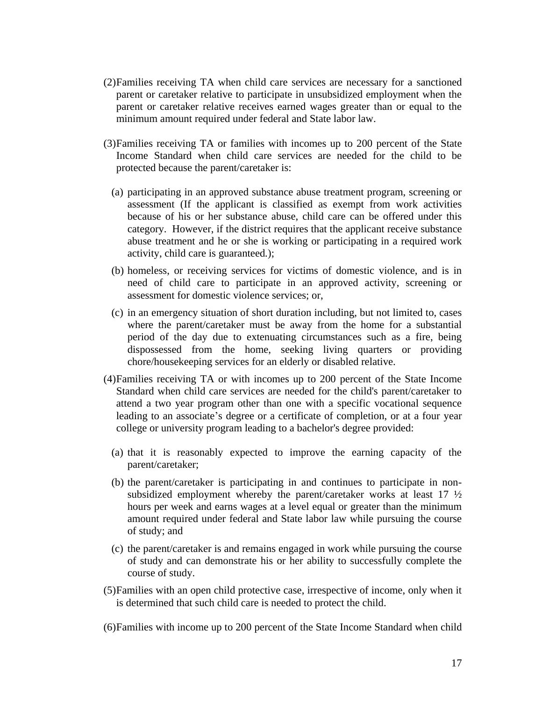- (2)Families receiving TA when child care services are necessary for a sanctioned parent or caretaker relative to participate in unsubsidized employment when the parent or caretaker relative receives earned wages greater than or equal to the minimum amount required under federal and State labor law.
- (3)Families receiving TA or families with incomes up to 200 percent of the State Income Standard when child care services are needed for the child to be protected because the parent/caretaker is:
	- (a) participating in an approved substance abuse treatment program, screening or assessment (If the applicant is classified as exempt from work activities because of his or her substance abuse, child care can be offered under this category. However, if the district requires that the applicant receive substance abuse treatment and he or she is working or participating in a required work activity, child care is guaranteed*.*);
	- (b) homeless, or receiving services for victims of domestic violence, and is in need of child care to participate in an approved activity, screening or assessment for domestic violence services; or,
	- (c) in an emergency situation of short duration including, but not limited to, cases where the parent/caretaker must be away from the home for a substantial period of the day due to extenuating circumstances such as a fire, being dispossessed from the home, seeking living quarters or providing chore/housekeeping services for an elderly or disabled relative.
- (4)Families receiving TA or with incomes up to 200 percent of the State Income Standard when child care services are needed for the child's parent/caretaker to attend a two year program other than one with a specific vocational sequence leading to an associate's degree or a certificate of completion, or at a four year college or university program leading to a bachelor's degree provided:
	- (a) that it is reasonably expected to improve the earning capacity of the parent/caretaker;
	- (b) the parent/caretaker is participating in and continues to participate in nonsubsidized employment whereby the parent/caretaker works at least  $17 \frac{1}{2}$ hours per week and earns wages at a level equal or greater than the minimum amount required under federal and State labor law while pursuing the course of study; and
	- (c) the parent/caretaker is and remains engaged in work while pursuing the course of study and can demonstrate his or her ability to successfully complete the course of study.
- (5)Families with an open child protective case, irrespective of income, only when it is determined that such child care is needed to protect the child.

(6)Families with income up to 200 percent of the State Income Standard when child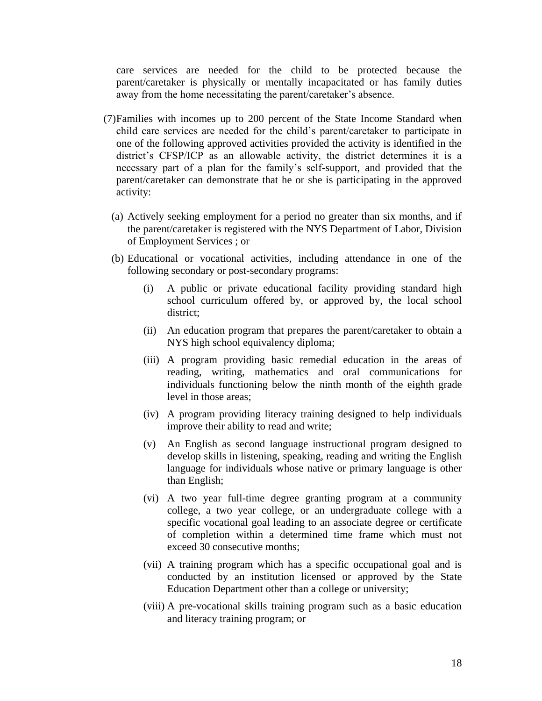care services are needed for the child to be protected because the parent/caretaker is physically or mentally incapacitated or has family duties away from the home necessitating the parent/caretaker's absence.

- (7)Families with incomes up to 200 percent of the State Income Standard when child care services are needed for the child's parent/caretaker to participate in one of the following approved activities provided the activity is identified in the district's CFSP/ICP as an allowable activity, the district determines it is a necessary part of a plan for the family's self-support, and provided that the parent/caretaker can demonstrate that he or she is participating in the approved activity:
	- (a) Actively seeking employment for a period no greater than six months, and if the parent/caretaker is registered with the NYS Department of Labor, Division of Employment Services ; or
	- (b) Educational or vocational activities, including attendance in one of the following secondary or post-secondary programs:
		- (i) A public or private educational facility providing standard high school curriculum offered by, or approved by, the local school district;
		- (ii) An education program that prepares the parent/caretaker to obtain a NYS high school equivalency diploma;
		- (iii) A program providing basic remedial education in the areas of reading, writing, mathematics and oral communications for individuals functioning below the ninth month of the eighth grade level in those areas;
		- (iv) A program providing literacy training designed to help individuals improve their ability to read and write;
		- (v) An English as second language instructional program designed to develop skills in listening, speaking, reading and writing the English language for individuals whose native or primary language is other than English;
		- (vi) A two year full-time degree granting program at a community college, a two year college, or an undergraduate college with a specific vocational goal leading to an associate degree or certificate of completion within a determined time frame which must not exceed 30 consecutive months;
		- (vii) A training program which has a specific occupational goal and is conducted by an institution licensed or approved by the State Education Department other than a college or university;
		- (viii) A pre-vocational skills training program such as a basic education and literacy training program; or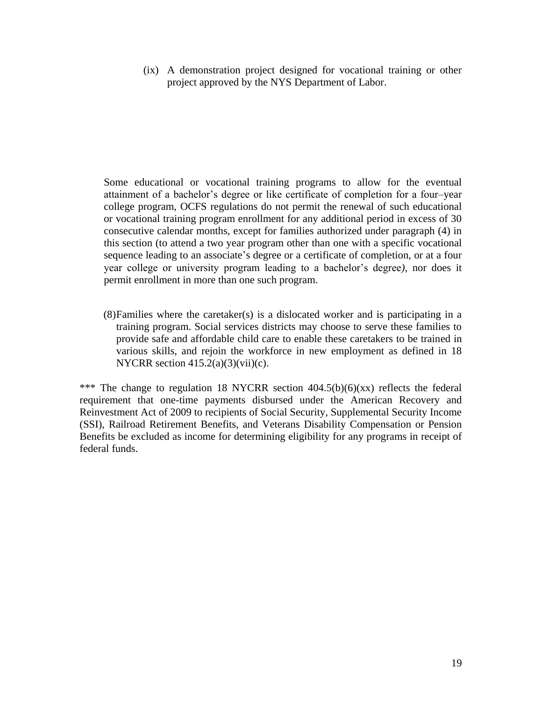(ix) A demonstration project designed for vocational training or other project approved by the NYS Department of Labor.

Some educational or vocational training programs to allow for the eventual attainment of a bachelor's degree or like certificate of completion for a four–year college program, OCFS regulations do not permit the renewal of such educational or vocational training program enrollment for any additional period in excess of 30 consecutive calendar months, except for families authorized under paragraph (4) in this section (to attend a two year program other than one with a specific vocational sequence leading to an associate's degree or a certificate of completion, or at a four year college or university program leading to a bachelor's degree*)*, nor does it permit enrollment in more than one such program.

(8)Families where the caretaker(s) is a dislocated worker and is participating in a training program. Social services districts may choose to serve these families to provide safe and affordable child care to enable these caretakers to be trained in various skills, and rejoin the workforce in new employment as defined in 18 NYCRR section  $415.2(a)(3)(vii)(c)$ .

\*\*\* The change to regulation 18 NYCRR section 404.5(b)(6)(xx) reflects the federal requirement that one-time payments disbursed under the American Recovery and Reinvestment Act of 2009 to recipients of Social Security, Supplemental Security Income (SSI), Railroad Retirement Benefits, and Veterans Disability Compensation or Pension Benefits be excluded as income for determining eligibility for any programs in receipt of federal funds.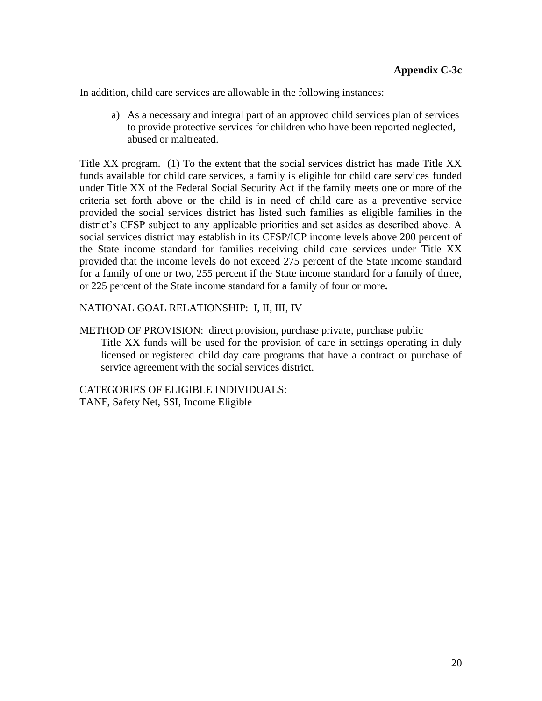In addition, child care services are allowable in the following instances:

a) As a necessary and integral part of an approved child services plan of services to provide protective services for children who have been reported neglected, abused or maltreated.

Title XX program. (1) To the extent that the social services district has made Title XX funds available for child care services, a family is eligible for child care services funded under Title XX of the Federal Social Security Act if the family meets one or more of the criteria set forth above or the child is in need of child care as a preventive service provided the social services district has listed such families as eligible families in the district's CFSP subject to any applicable priorities and set asides as described above. A social services district may establish in its CFSP/ICP income levels above 200 percent of the State income standard for families receiving child care services under Title XX provided that the income levels do not exceed 275 percent of the State income standard for a family of one or two, 255 percent if the State income standard for a family of three, or 225 percent of the State income standard for a family of four or more**.** 

### NATIONAL GOAL RELATIONSHIP: I, II, III, IV

METHOD OF PROVISION: direct provision, purchase private, purchase public Title XX funds will be used for the provision of care in settings operating in duly licensed or registered child day care programs that have a contract or purchase of service agreement with the social services district.

CATEGORIES OF ELIGIBLE INDIVIDUALS: TANF, Safety Net, SSI, Income Eligible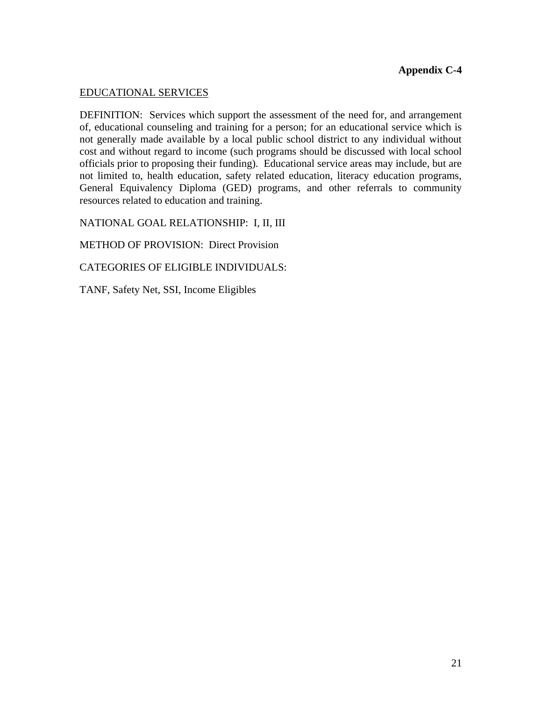## EDUCATIONAL SERVICES

DEFINITION: Services which support the assessment of the need for, and arrangement of, educational counseling and training for a person; for an educational service which is not generally made available by a local public school district to any individual without cost and without regard to income (such programs should be discussed with local school officials prior to proposing their funding). Educational service areas may include, but are not limited to, health education, safety related education, literacy education programs, General Equivalency Diploma (GED) programs, and other referrals to community resources related to education and training.

NATIONAL GOAL RELATIONSHIP: I, II, III

METHOD OF PROVISION: Direct Provision

CATEGORIES OF ELIGIBLE INDIVIDUALS:

TANF, Safety Net, SSI, Income Eligibles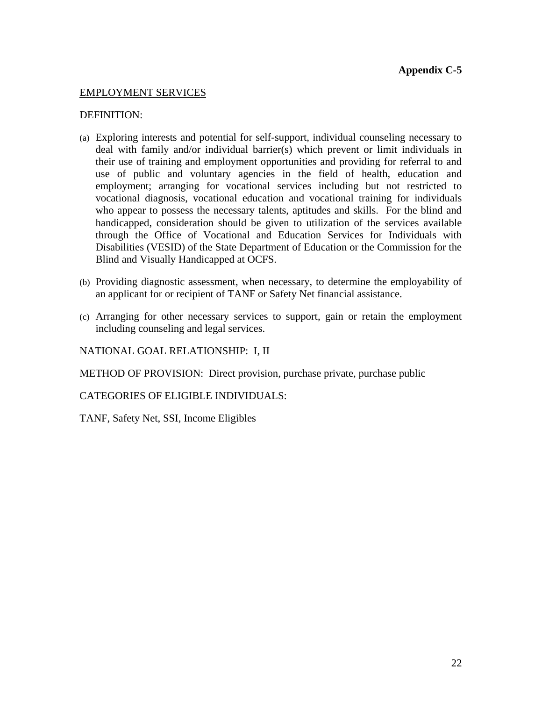## EMPLOYMENT SERVICES

### DEFINITION:

- (a) Exploring interests and potential for self-support, individual counseling necessary to deal with family and/or individual barrier(s) which prevent or limit individuals in their use of training and employment opportunities and providing for referral to and use of public and voluntary agencies in the field of health, education and employment; arranging for vocational services including but not restricted to vocational diagnosis, vocational education and vocational training for individuals who appear to possess the necessary talents, aptitudes and skills. For the blind and handicapped, consideration should be given to utilization of the services available through the Office of Vocational and Education Services for Individuals with Disabilities (VESID) of the State Department of Education or the Commission for the Blind and Visually Handicapped at OCFS.
- (b) Providing diagnostic assessment, when necessary, to determine the employability of an applicant for or recipient of TANF or Safety Net financial assistance.
- (c) Arranging for other necessary services to support, gain or retain the employment including counseling and legal services.

NATIONAL GOAL RELATIONSHIP: I, II

METHOD OF PROVISION: Direct provision, purchase private, purchase public

CATEGORIES OF ELIGIBLE INDIVIDUALS:

TANF, Safety Net, SSI, Income Eligibles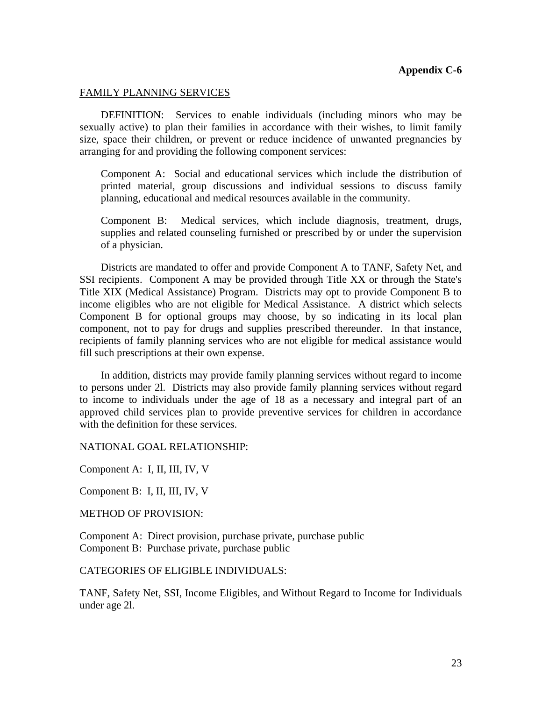#### FAMILY PLANNING SERVICES

DEFINITION: Services to enable individuals (including minors who may be sexually active) to plan their families in accordance with their wishes, to limit family size, space their children, or prevent or reduce incidence of unwanted pregnancies by arranging for and providing the following component services:

Component A: Social and educational services which include the distribution of printed material, group discussions and individual sessions to discuss family planning, educational and medical resources available in the community.

Component B: Medical services, which include diagnosis, treatment, drugs, supplies and related counseling furnished or prescribed by or under the supervision of a physician.

Districts are mandated to offer and provide Component A to TANF, Safety Net, and SSI recipients. Component A may be provided through Title XX or through the State's Title XIX (Medical Assistance) Program. Districts may opt to provide Component B to income eligibles who are not eligible for Medical Assistance. A district which selects Component B for optional groups may choose, by so indicating in its local plan component, not to pay for drugs and supplies prescribed thereunder. In that instance, recipients of family planning services who are not eligible for medical assistance would fill such prescriptions at their own expense.

In addition, districts may provide family planning services without regard to income to persons under 2l. Districts may also provide family planning services without regard to income to individuals under the age of 18 as a necessary and integral part of an approved child services plan to provide preventive services for children in accordance with the definition for these services.

#### NATIONAL GOAL RELATIONSHIP:

Component A: I, II, III, IV, V

Component B: I, II, III, IV, V

METHOD OF PROVISION:

Component A: Direct provision, purchase private, purchase public Component B: Purchase private, purchase public

#### CATEGORIES OF ELIGIBLE INDIVIDUALS:

TANF, Safety Net, SSI, Income Eligibles, and Without Regard to Income for Individuals under age 2l.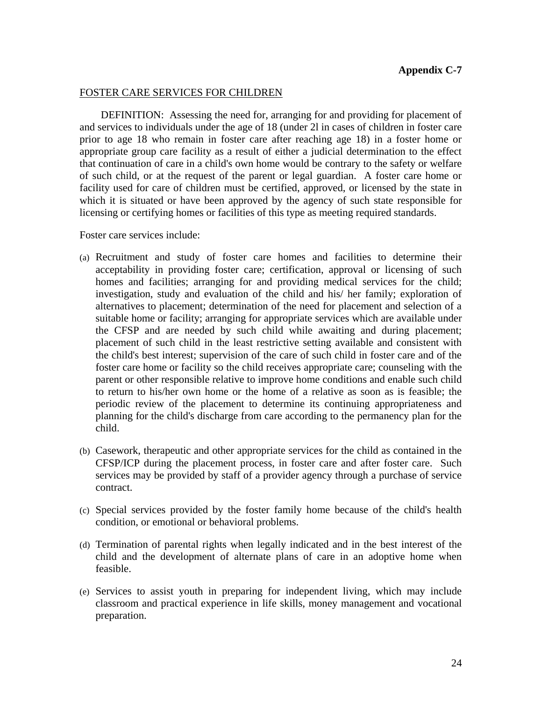#### FOSTER CARE SERVICES FOR CHILDREN

DEFINITION: Assessing the need for, arranging for and providing for placement of and services to individuals under the age of 18 (under 2l in cases of children in foster care prior to age 18 who remain in foster care after reaching age 18) in a foster home or appropriate group care facility as a result of either a judicial determination to the effect that continuation of care in a child's own home would be contrary to the safety or welfare of such child, or at the request of the parent or legal guardian. A foster care home or facility used for care of children must be certified, approved, or licensed by the state in which it is situated or have been approved by the agency of such state responsible for licensing or certifying homes or facilities of this type as meeting required standards.

Foster care services include:

- (a) Recruitment and study of foster care homes and facilities to determine their acceptability in providing foster care; certification, approval or licensing of such homes and facilities; arranging for and providing medical services for the child; investigation, study and evaluation of the child and his/ her family; exploration of alternatives to placement; determination of the need for placement and selection of a suitable home or facility; arranging for appropriate services which are available under the CFSP and are needed by such child while awaiting and during placement; placement of such child in the least restrictive setting available and consistent with the child's best interest; supervision of the care of such child in foster care and of the foster care home or facility so the child receives appropriate care; counseling with the parent or other responsible relative to improve home conditions and enable such child to return to his/her own home or the home of a relative as soon as is feasible; the periodic review of the placement to determine its continuing appropriateness and planning for the child's discharge from care according to the permanency plan for the child.
- (b) Casework, therapeutic and other appropriate services for the child as contained in the CFSP/ICP during the placement process, in foster care and after foster care. Such services may be provided by staff of a provider agency through a purchase of service contract.
- (c) Special services provided by the foster family home because of the child's health condition, or emotional or behavioral problems.
- (d) Termination of parental rights when legally indicated and in the best interest of the child and the development of alternate plans of care in an adoptive home when feasible.
- (e) Services to assist youth in preparing for independent living, which may include classroom and practical experience in life skills, money management and vocational preparation.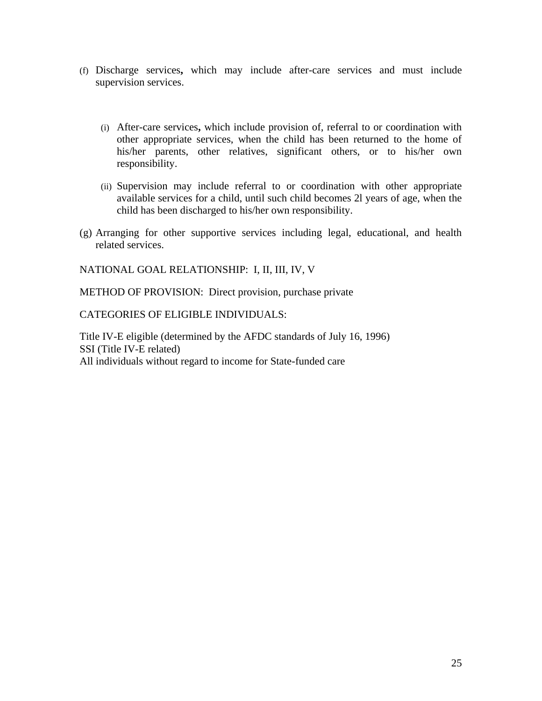- (f) Discharge services**,** which may include after-care services and must include supervision services.
	- (i) After-care services**,** which include provision of, referral to or coordination with other appropriate services, when the child has been returned to the home of his/her parents, other relatives, significant others, or to his/her own responsibility.
	- (ii) Supervision may include referral to or coordination with other appropriate available services for a child, until such child becomes 2l years of age, when the child has been discharged to his/her own responsibility.
- (g) Arranging for other supportive services including legal, educational, and health related services.

NATIONAL GOAL RELATIONSHIP: I, II, III, IV, V

METHOD OF PROVISION: Direct provision, purchase private

CATEGORIES OF ELIGIBLE INDIVIDUALS:

Title IV-E eligible (determined by the AFDC standards of July 16, 1996) SSI (Title IV-E related) All individuals without regard to income for State-funded care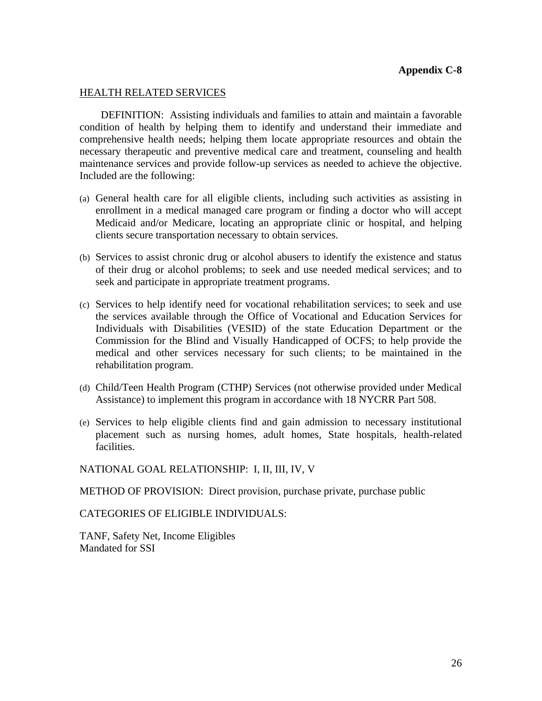#### HEALTH RELATED SERVICES

DEFINITION: Assisting individuals and families to attain and maintain a favorable condition of health by helping them to identify and understand their immediate and comprehensive health needs; helping them locate appropriate resources and obtain the necessary therapeutic and preventive medical care and treatment, counseling and health maintenance services and provide follow-up services as needed to achieve the objective. Included are the following:

- (a) General health care for all eligible clients, including such activities as assisting in enrollment in a medical managed care program or finding a doctor who will accept Medicaid and/or Medicare, locating an appropriate clinic or hospital, and helping clients secure transportation necessary to obtain services.
- (b) Services to assist chronic drug or alcohol abusers to identify the existence and status of their drug or alcohol problems; to seek and use needed medical services; and to seek and participate in appropriate treatment programs.
- (c) Services to help identify need for vocational rehabilitation services; to seek and use the services available through the Office of Vocational and Education Services for Individuals with Disabilities (VESID) of the state Education Department or the Commission for the Blind and Visually Handicapped of OCFS; to help provide the medical and other services necessary for such clients; to be maintained in the rehabilitation program.
- (d) Child/Teen Health Program (CTHP) Services (not otherwise provided under Medical Assistance) to implement this program in accordance with 18 NYCRR Part 508.
- (e) Services to help eligible clients find and gain admission to necessary institutional placement such as nursing homes, adult homes, State hospitals, health-related facilities.

NATIONAL GOAL RELATIONSHIP: I, II, III, IV, V

METHOD OF PROVISION: Direct provision, purchase private, purchase public

CATEGORIES OF ELIGIBLE INDIVIDUALS:

TANF, Safety Net, Income Eligibles Mandated for SSI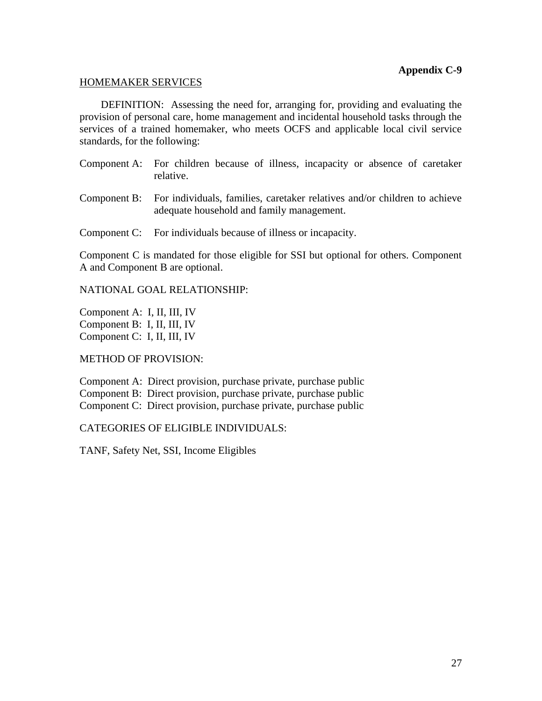#### HOMEMAKER SERVICES

DEFINITION: Assessing the need for, arranging for, providing and evaluating the provision of personal care, home management and incidental household tasks through the services of a trained homemaker, who meets OCFS and applicable local civil service standards, for the following:

- Component A: For children because of illness, incapacity or absence of caretaker relative.
- Component B: For individuals, families, caretaker relatives and/or children to achieve adequate household and family management.
- Component C: For individuals because of illness or incapacity.

Component C is mandated for those eligible for SSI but optional for others. Component A and Component B are optional.

#### NATIONAL GOAL RELATIONSHIP:

Component A: I, II, III, IV Component B: I, II, III, IV Component C: I, II, III, IV

### METHOD OF PROVISION:

Component A: Direct provision, purchase private, purchase public Component B: Direct provision, purchase private, purchase public Component C: Direct provision, purchase private, purchase public

### CATEGORIES OF ELIGIBLE INDIVIDUALS:

TANF, Safety Net, SSI, Income Eligibles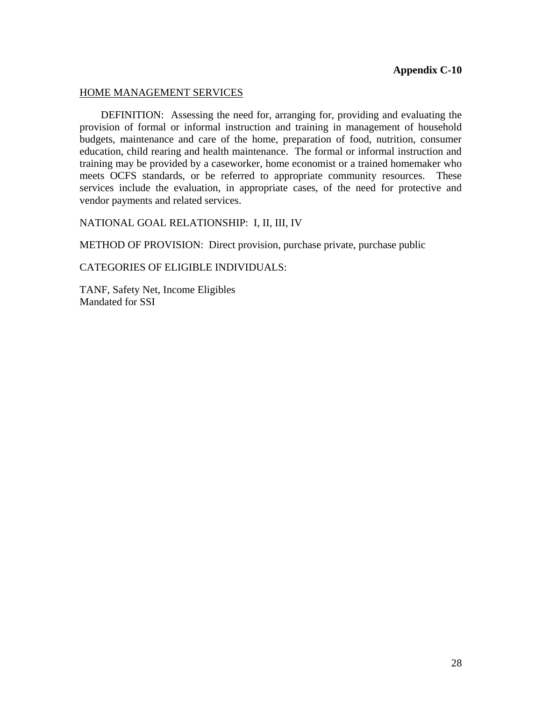#### HOME MANAGEMENT SERVICES

DEFINITION: Assessing the need for, arranging for, providing and evaluating the provision of formal or informal instruction and training in management of household budgets, maintenance and care of the home, preparation of food, nutrition, consumer education, child rearing and health maintenance. The formal or informal instruction and training may be provided by a caseworker, home economist or a trained homemaker who meets OCFS standards, or be referred to appropriate community resources. These services include the evaluation, in appropriate cases, of the need for protective and vendor payments and related services.

NATIONAL GOAL RELATIONSHIP: I, II, III, IV

METHOD OF PROVISION: Direct provision, purchase private, purchase public

CATEGORIES OF ELIGIBLE INDIVIDUALS:

TANF, Safety Net, Income Eligibles Mandated for SSI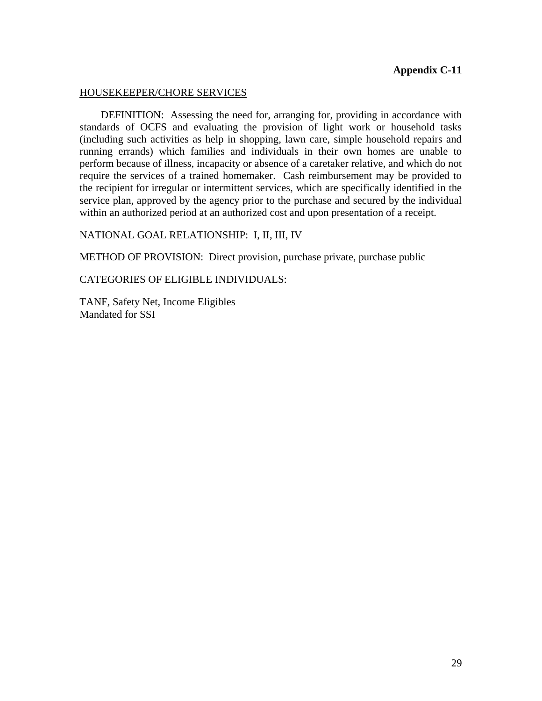#### HOUSEKEEPER/CHORE SERVICES

DEFINITION: Assessing the need for, arranging for, providing in accordance with standards of OCFS and evaluating the provision of light work or household tasks (including such activities as help in shopping, lawn care, simple household repairs and running errands) which families and individuals in their own homes are unable to perform because of illness, incapacity or absence of a caretaker relative, and which do not require the services of a trained homemaker. Cash reimbursement may be provided to the recipient for irregular or intermittent services, which are specifically identified in the service plan, approved by the agency prior to the purchase and secured by the individual within an authorized period at an authorized cost and upon presentation of a receipt.

#### NATIONAL GOAL RELATIONSHIP: I, II, III, IV

METHOD OF PROVISION: Direct provision, purchase private, purchase public

CATEGORIES OF ELIGIBLE INDIVIDUALS:

TANF, Safety Net, Income Eligibles Mandated for SSI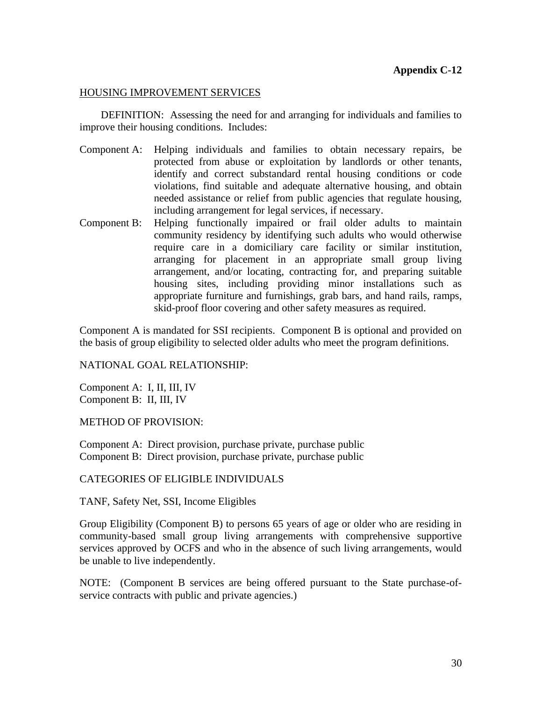## HOUSING IMPROVEMENT SERVICES

DEFINITION: Assessing the need for and arranging for individuals and families to improve their housing conditions. Includes:

- Component A: Helping individuals and families to obtain necessary repairs, be protected from abuse or exploitation by landlords or other tenants, identify and correct substandard rental housing conditions or code violations, find suitable and adequate alternative housing, and obtain needed assistance or relief from public agencies that regulate housing, including arrangement for legal services, if necessary.
- Component B: Helping functionally impaired or frail older adults to maintain community residency by identifying such adults who would otherwise require care in a domiciliary care facility or similar institution, arranging for placement in an appropriate small group living arrangement, and/or locating, contracting for, and preparing suitable housing sites, including providing minor installations such as appropriate furniture and furnishings, grab bars, and hand rails, ramps, skid-proof floor covering and other safety measures as required.

Component A is mandated for SSI recipients. Component B is optional and provided on the basis of group eligibility to selected older adults who meet the program definitions.

### NATIONAL GOAL RELATIONSHIP:

Component A: I, II, III, IV Component B: II, III, IV

METHOD OF PROVISION:

Component A: Direct provision, purchase private, purchase public Component B: Direct provision, purchase private, purchase public

### CATEGORIES OF ELIGIBLE INDIVIDUALS

TANF, Safety Net, SSI, Income Eligibles

Group Eligibility (Component B) to persons 65 years of age or older who are residing in community-based small group living arrangements with comprehensive supportive services approved by OCFS and who in the absence of such living arrangements, would be unable to live independently.

NOTE: (Component B services are being offered pursuant to the State purchase-ofservice contracts with public and private agencies.)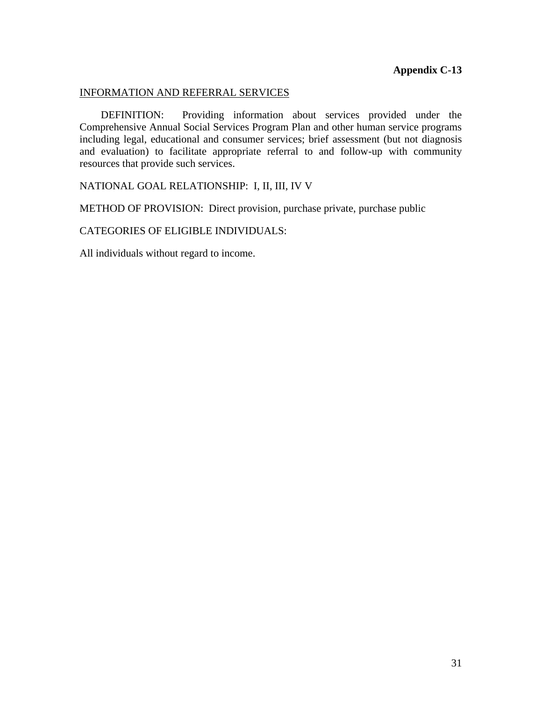### INFORMATION AND REFERRAL SERVICES

DEFINITION: Providing information about services provided under the Comprehensive Annual Social Services Program Plan and other human service programs including legal, educational and consumer services; brief assessment (but not diagnosis and evaluation) to facilitate appropriate referral to and follow-up with community resources that provide such services.

## NATIONAL GOAL RELATIONSHIP: I, II, III, IV V

METHOD OF PROVISION: Direct provision, purchase private, purchase public

CATEGORIES OF ELIGIBLE INDIVIDUALS:

All individuals without regard to income.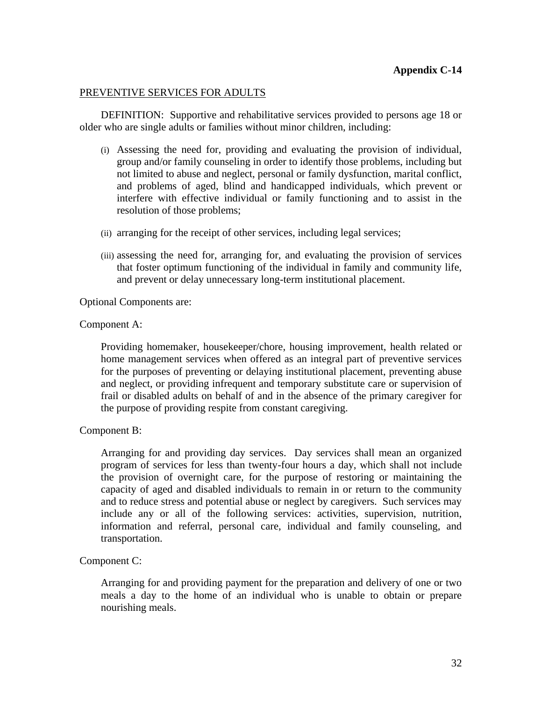## PREVENTIVE SERVICES FOR ADULTS

DEFINITION: Supportive and rehabilitative services provided to persons age 18 or older who are single adults or families without minor children, including:

- (i) Assessing the need for, providing and evaluating the provision of individual, group and/or family counseling in order to identify those problems, including but not limited to abuse and neglect, personal or family dysfunction, marital conflict, and problems of aged, blind and handicapped individuals, which prevent or interfere with effective individual or family functioning and to assist in the resolution of those problems;
- (ii) arranging for the receipt of other services, including legal services;
- (iii) assessing the need for, arranging for, and evaluating the provision of services that foster optimum functioning of the individual in family and community life, and prevent or delay unnecessary long-term institutional placement.

Optional Components are:

#### Component A:

Providing homemaker, housekeeper/chore, housing improvement, health related or home management services when offered as an integral part of preventive services for the purposes of preventing or delaying institutional placement, preventing abuse and neglect, or providing infrequent and temporary substitute care or supervision of frail or disabled adults on behalf of and in the absence of the primary caregiver for the purpose of providing respite from constant caregiving.

### Component B:

Arranging for and providing day services. Day services shall mean an organized program of services for less than twenty-four hours a day, which shall not include the provision of overnight care, for the purpose of restoring or maintaining the capacity of aged and disabled individuals to remain in or return to the community and to reduce stress and potential abuse or neglect by caregivers. Such services may include any or all of the following services: activities, supervision, nutrition, information and referral, personal care, individual and family counseling, and transportation.

### Component C:

Arranging for and providing payment for the preparation and delivery of one or two meals a day to the home of an individual who is unable to obtain or prepare nourishing meals.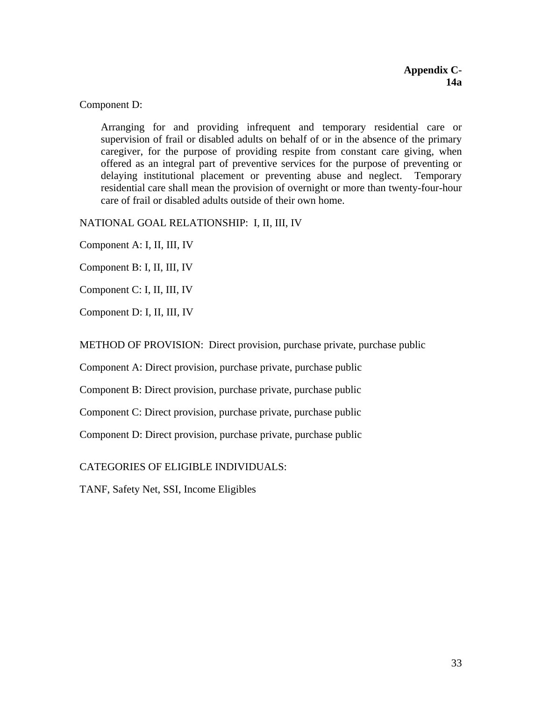Component D:

Arranging for and providing infrequent and temporary residential care or supervision of frail or disabled adults on behalf of or in the absence of the primary caregiver, for the purpose of providing respite from constant care giving, when offered as an integral part of preventive services for the purpose of preventing or delaying institutional placement or preventing abuse and neglect. Temporary residential care shall mean the provision of overnight or more than twenty-four-hour care of frail or disabled adults outside of their own home.

NATIONAL GOAL RELATIONSHIP: I, II, III, IV

Component A: I, II, III, IV

Component B: I, II, III, IV

Component C: I, II, III, IV

Component D: I, II, III, IV

METHOD OF PROVISION: Direct provision, purchase private, purchase public

Component A: Direct provision, purchase private, purchase public

Component B: Direct provision, purchase private, purchase public

Component C: Direct provision, purchase private, purchase public

Component D: Direct provision, purchase private, purchase public

CATEGORIES OF ELIGIBLE INDIVIDUALS:

TANF, Safety Net, SSI, Income Eligibles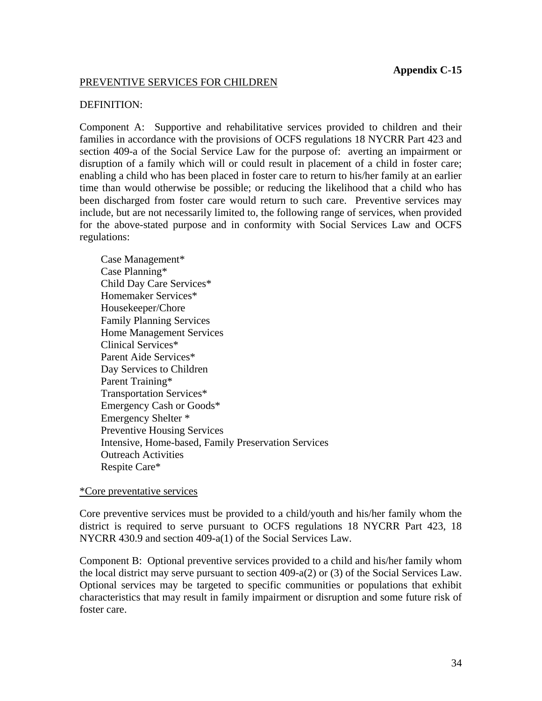#### PREVENTIVE SERVICES FOR CHILDREN

#### DEFINITION:

Component A: Supportive and rehabilitative services provided to children and their families in accordance with the provisions of OCFS regulations 18 NYCRR Part 423 and section 409-a of the Social Service Law for the purpose of: averting an impairment or disruption of a family which will or could result in placement of a child in foster care; enabling a child who has been placed in foster care to return to his/her family at an earlier time than would otherwise be possible; or reducing the likelihood that a child who has been discharged from foster care would return to such care. Preventive services may include, but are not necessarily limited to, the following range of services, when provided for the above-stated purpose and in conformity with Social Services Law and OCFS regulations:

Case Management\* Case Planning\* Child Day Care Services\* Homemaker Services\* Housekeeper/Chore Family Planning Services Home Management Services Clinical Services\* Parent Aide Services\* Day Services to Children Parent Training\* Transportation Services\* Emergency Cash or Goods\* Emergency Shelter \* Preventive Housing Services Intensive, Home-based, Family Preservation Services Outreach Activities Respite Care\*

#### \*Core preventative services

Core preventive services must be provided to a child/youth and his/her family whom the district is required to serve pursuant to OCFS regulations 18 NYCRR Part 423, 18 NYCRR 430.9 and section 409-a(1) of the Social Services Law.

Component B: Optional preventive services provided to a child and his/her family whom the local district may serve pursuant to section 409-a(2) or (3) of the Social Services Law. Optional services may be targeted to specific communities or populations that exhibit characteristics that may result in family impairment or disruption and some future risk of foster care.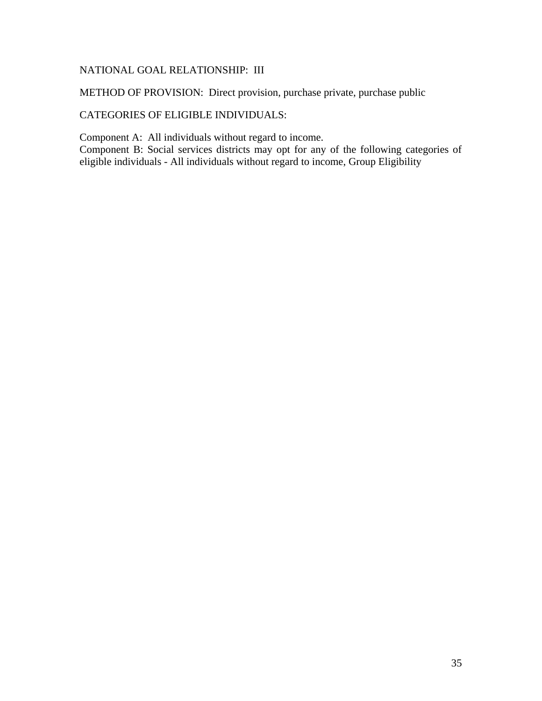## NATIONAL GOAL RELATIONSHIP: III

METHOD OF PROVISION: Direct provision, purchase private, purchase public

## CATEGORIES OF ELIGIBLE INDIVIDUALS:

Component A: All individuals without regard to income.

Component B: Social services districts may opt for any of the following categories of eligible individuals - All individuals without regard to income, Group Eligibility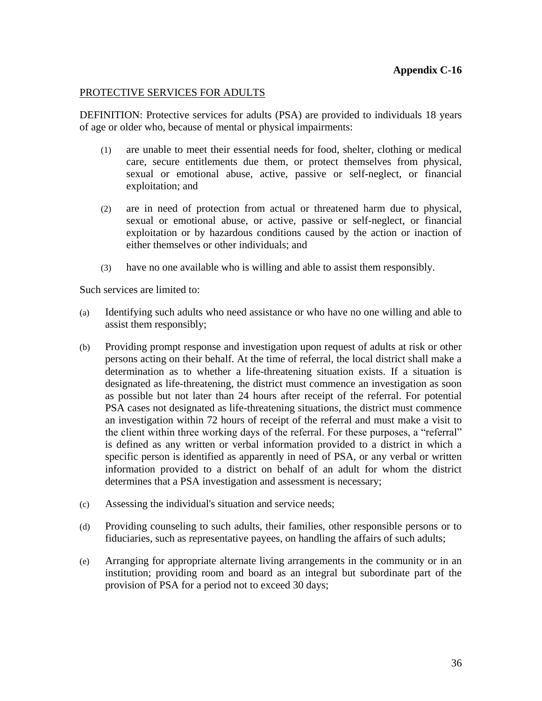#### PROTECTIVE SERVICES FOR ADULTS

DEFINITION: Protective services for adults (PSA) are provided to individuals 18 years of age or older who, because of mental or physical impairments:

- (1) are unable to meet their essential needs for food, shelter, clothing or medical care, secure entitlements due them, or protect themselves from physical, sexual or emotional abuse, active, passive or self-neglect, or financial exploitation; and
- (2) are in need of protection from actual or threatened harm due to physical, sexual or emotional abuse, or active, passive or self-neglect, or financial exploitation or by hazardous conditions caused by the action or inaction of either themselves or other individuals; and
- (3) have no one available who is willing and able to assist them responsibly.

Such services are limited to:

- (a) Identifying such adults who need assistance or who have no one willing and able to assist them responsibly;
- (b) Providing prompt response and investigation upon request of adults at risk or other persons acting on their behalf. At the time of referral, the local district shall make a determination as to whether a life-threatening situation exists. If a situation is designated as life-threatening, the district must commence an investigation as soon as possible but not later than 24 hours after receipt of the referral. For potential PSA cases not designated as life-threatening situations, the district must commence an investigation within 72 hours of receipt of the referral and must make a visit to the client within three working days of the referral. For these purposes, a "referral" is defined as any written or verbal information provided to a district in which a specific person is identified as apparently in need of PSA, or any verbal or written information provided to a district on behalf of an adult for whom the district determines that a PSA investigation and assessment is necessary;
- (c) Assessing the individual's situation and service needs;
- (d) Providing counseling to such adults, their families, other responsible persons or to fiduciaries, such as representative payees, on handling the affairs of such adults;
- (e) Arranging for appropriate alternate living arrangements in the community or in an institution; providing room and board as an integral but subordinate part of the provision of PSA for a period not to exceed 30 days;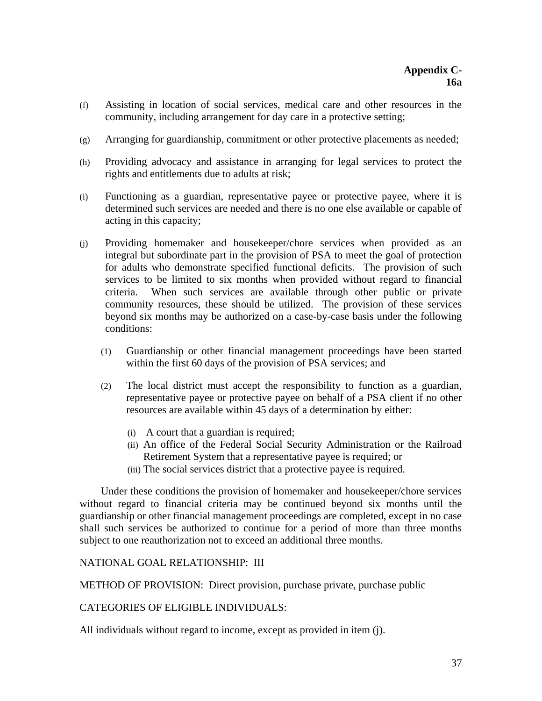- (f) Assisting in location of social services, medical care and other resources in the community, including arrangement for day care in a protective setting;
- (g) Arranging for guardianship, commitment or other protective placements as needed;
- (h) Providing advocacy and assistance in arranging for legal services to protect the rights and entitlements due to adults at risk;
- (i) Functioning as a guardian, representative payee or protective payee, where it is determined such services are needed and there is no one else available or capable of acting in this capacity;
- (j) Providing homemaker and housekeeper/chore services when provided as an integral but subordinate part in the provision of PSA to meet the goal of protection for adults who demonstrate specified functional deficits. The provision of such services to be limited to six months when provided without regard to financial criteria. When such services are available through other public or private community resources, these should be utilized. The provision of these services beyond six months may be authorized on a case-by-case basis under the following conditions:
	- (1) Guardianship or other financial management proceedings have been started within the first 60 days of the provision of PSA services; and
	- (2) The local district must accept the responsibility to function as a guardian, representative payee or protective payee on behalf of a PSA client if no other resources are available within 45 days of a determination by either:
		- (i) A court that a guardian is required;
		- (ii) An office of the Federal Social Security Administration or the Railroad Retirement System that a representative payee is required; or
		- (iii) The social services district that a protective payee is required.

Under these conditions the provision of homemaker and housekeeper/chore services without regard to financial criteria may be continued beyond six months until the guardianship or other financial management proceedings are completed, except in no case shall such services be authorized to continue for a period of more than three months subject to one reauthorization not to exceed an additional three months.

### NATIONAL GOAL RELATIONSHIP: III

METHOD OF PROVISION: Direct provision, purchase private, purchase public

CATEGORIES OF ELIGIBLE INDIVIDUALS:

All individuals without regard to income, except as provided in item (j).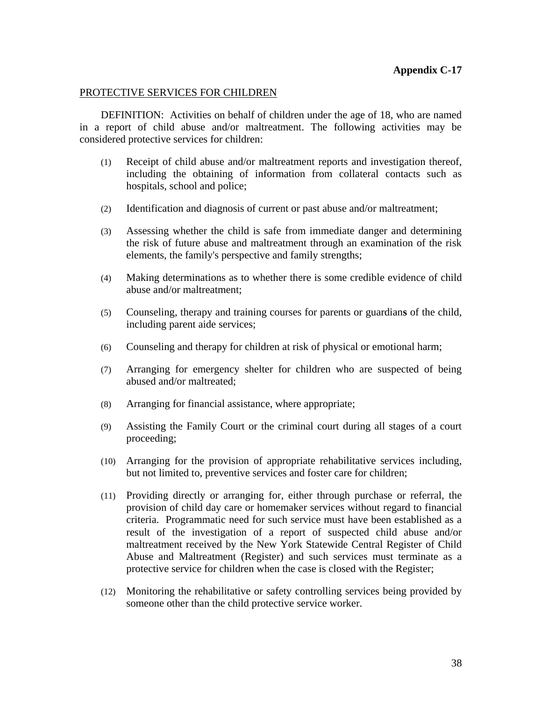#### PROTECTIVE SERVICES FOR CHILDREN

DEFINITION: Activities on behalf of children under the age of 18, who are named in a report of child abuse and/or maltreatment. The following activities may be considered protective services for children:

- (1) Receipt of child abuse and/or maltreatment reports and investigation thereof, including the obtaining of information from collateral contacts such as hospitals, school and police;
- (2) Identification and diagnosis of current or past abuse and/or maltreatment;
- (3) Assessing whether the child is safe from immediate danger and determining the risk of future abuse and maltreatment through an examination of the risk elements, the family's perspective and family strengths;
- (4) Making determinations as to whether there is some credible evidence of child abuse and/or maltreatment;
- (5) Counseling, therapy and training courses for parents or guardian**s** of the child, including parent aide services;
- (6) Counseling and therapy for children at risk of physical or emotional harm;
- (7) Arranging for emergency shelter for children who are suspected of being abused and/or maltreated;
- (8) Arranging for financial assistance, where appropriate;
- (9) Assisting the Family Court or the criminal court during all stages of a court proceeding;
- (10) Arranging for the provision of appropriate rehabilitative services including, but not limited to, preventive services and foster care for children;
- (11) Providing directly or arranging for, either through purchase or referral, the provision of child day care or homemaker services without regard to financial criteria. Programmatic need for such service must have been established as a result of the investigation of a report of suspected child abuse and/or maltreatment received by the New York Statewide Central Register of Child Abuse and Maltreatment (Register) and such services must terminate as a protective service for children when the case is closed with the Register;
- (12) Monitoring the rehabilitative or safety controlling services being provided by someone other than the child protective service worker.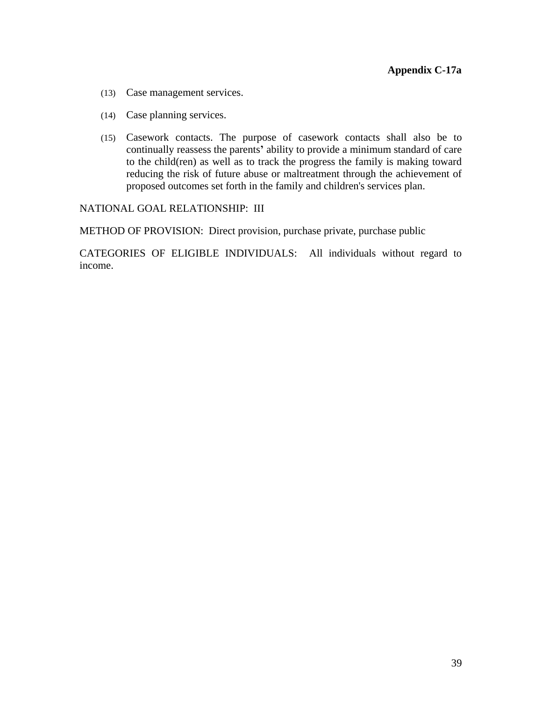- (13) Case management services.
- (14) Case planning services.
- (15) Casework contacts. The purpose of casework contacts shall also be to continually reassess the parents**'** ability to provide a minimum standard of care to the child(ren) as well as to track the progress the family is making toward reducing the risk of future abuse or maltreatment through the achievement of proposed outcomes set forth in the family and children's services plan.

NATIONAL GOAL RELATIONSHIP: III

METHOD OF PROVISION: Direct provision, purchase private, purchase public

CATEGORIES OF ELIGIBLE INDIVIDUALS: All individuals without regard to income.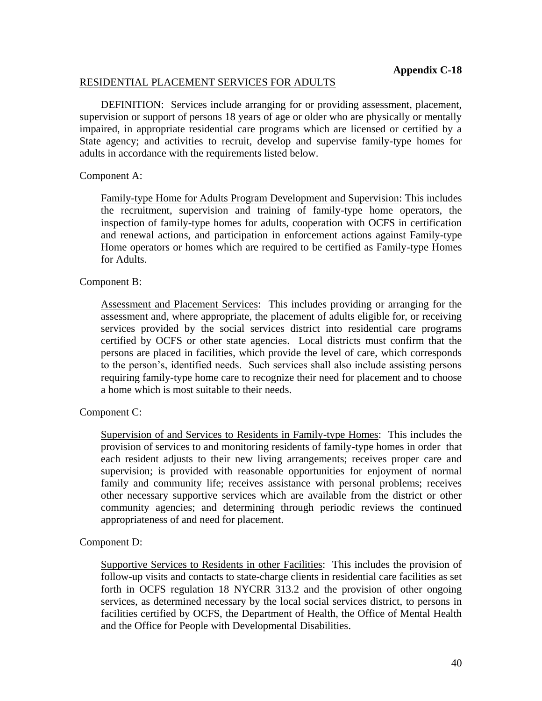### RESIDENTIAL PLACEMENT SERVICES FOR ADULTS

DEFINITION: Services include arranging for or providing assessment, placement, supervision or support of persons 18 years of age or older who are physically or mentally impaired, in appropriate residential care programs which are licensed or certified by a State agency; and activities to recruit, develop and supervise family-type homes for adults in accordance with the requirements listed below.

### Component A:

Family-type Home for Adults Program Development and Supervision: This includes the recruitment, supervision and training of family-type home operators, the inspection of family-type homes for adults, cooperation with OCFS in certification and renewal actions, and participation in enforcement actions against Family-type Home operators or homes which are required to be certified as Family-type Homes for Adults.

## Component B:

Assessment and Placement Services: This includes providing or arranging for the assessment and, where appropriate, the placement of adults eligible for, or receiving services provided by the social services district into residential care programs certified by OCFS or other state agencies. Local districts must confirm that the persons are placed in facilities, which provide the level of care, which corresponds to the person's, identified needs. Such services shall also include assisting persons requiring family-type home care to recognize their need for placement and to choose a home which is most suitable to their needs.

## Component C:

Supervision of and Services to Residents in Family-type Homes: This includes the provision of services to and monitoring residents of family-type homes in order that each resident adjusts to their new living arrangements; receives proper care and supervision; is provided with reasonable opportunities for enjoyment of normal family and community life; receives assistance with personal problems; receives other necessary supportive services which are available from the district or other community agencies; and determining through periodic reviews the continued appropriateness of and need for placement.

### Component D:

Supportive Services to Residents in other Facilities: This includes the provision of follow-up visits and contacts to state-charge clients in residential care facilities as set forth in OCFS regulation 18 NYCRR 313.2 and the provision of other ongoing services, as determined necessary by the local social services district, to persons in facilities certified by OCFS, the Department of Health, the Office of Mental Health and the Office for People with Developmental Disabilities.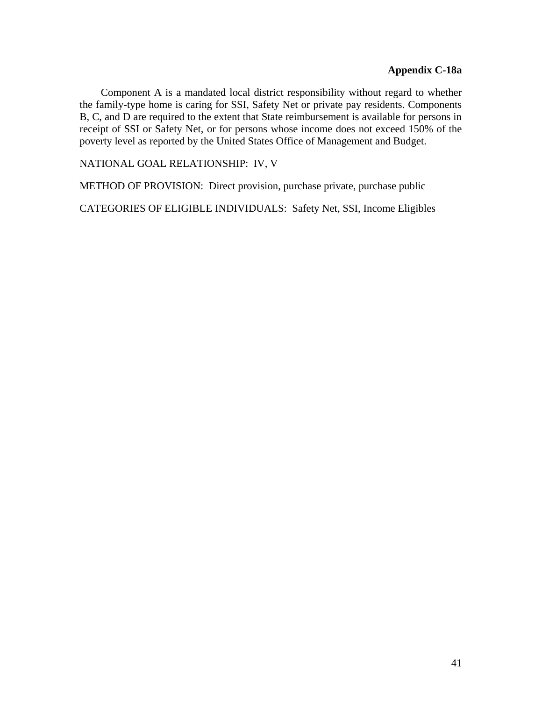Component A is a mandated local district responsibility without regard to whether the family-type home is caring for SSI, Safety Net or private pay residents. Components B, C, and D are required to the extent that State reimbursement is available for persons in receipt of SSI or Safety Net, or for persons whose income does not exceed 150% of the poverty level as reported by the United States Office of Management and Budget.

NATIONAL GOAL RELATIONSHIP: IV, V

METHOD OF PROVISION: Direct provision, purchase private, purchase public

CATEGORIES OF ELIGIBLE INDIVIDUALS: Safety Net, SSI, Income Eligibles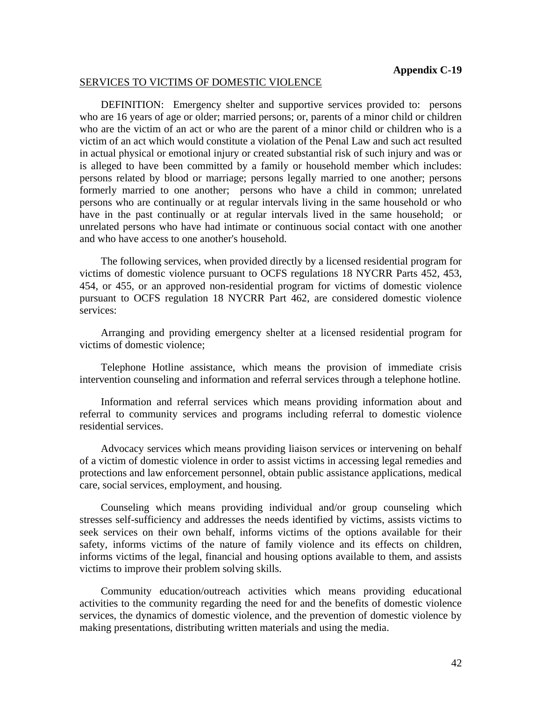#### SERVICES TO VICTIMS OF DOMESTIC VIOLENCE

DEFINITION: Emergency shelter and supportive services provided to: persons who are 16 years of age or older; married persons; or, parents of a minor child or children who are the victim of an act or who are the parent of a minor child or children who is a victim of an act which would constitute a violation of the Penal Law and such act resulted in actual physical or emotional injury or created substantial risk of such injury and was or is alleged to have been committed by a family or household member which includes: persons related by blood or marriage; persons legally married to one another; persons formerly married to one another; persons who have a child in common; unrelated persons who are continually or at regular intervals living in the same household or who have in the past continually or at regular intervals lived in the same household; or unrelated persons who have had intimate or continuous social contact with one another and who have access to one another's household.

The following services, when provided directly by a licensed residential program for victims of domestic violence pursuant to OCFS regulations 18 NYCRR Parts 452, 453, 454, or 455, or an approved non-residential program for victims of domestic violence pursuant to OCFS regulation 18 NYCRR Part 462, are considered domestic violence services:

Arranging and providing emergency shelter at a licensed residential program for victims of domestic violence;

Telephone Hotline assistance, which means the provision of immediate crisis intervention counseling and information and referral services through a telephone hotline.

Information and referral services which means providing information about and referral to community services and programs including referral to domestic violence residential services.

Advocacy services which means providing liaison services or intervening on behalf of a victim of domestic violence in order to assist victims in accessing legal remedies and protections and law enforcement personnel, obtain public assistance applications, medical care, social services, employment, and housing.

Counseling which means providing individual and/or group counseling which stresses self-sufficiency and addresses the needs identified by victims, assists victims to seek services on their own behalf, informs victims of the options available for their safety, informs victims of the nature of family violence and its effects on children, informs victims of the legal, financial and housing options available to them, and assists victims to improve their problem solving skills.

Community education/outreach activities which means providing educational activities to the community regarding the need for and the benefits of domestic violence services, the dynamics of domestic violence, and the prevention of domestic violence by making presentations, distributing written materials and using the media.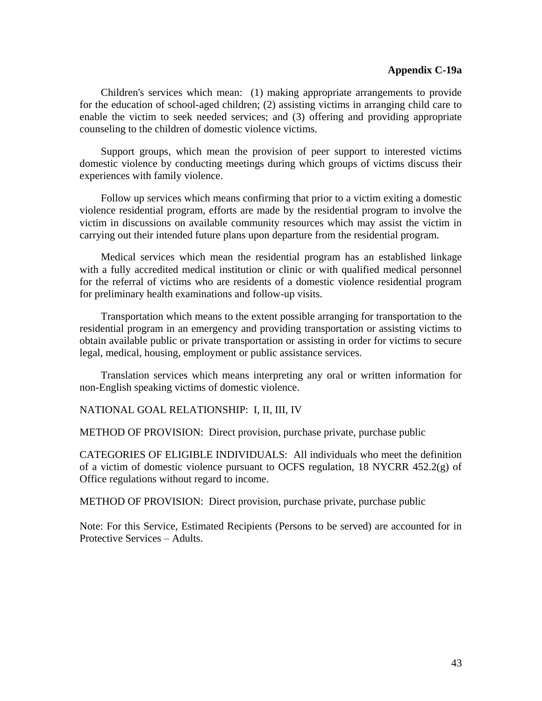#### **Appendix C-19a**

Children's services which mean: (1) making appropriate arrangements to provide for the education of school-aged children; (2) assisting victims in arranging child care to enable the victim to seek needed services; and (3) offering and providing appropriate counseling to the children of domestic violence victims.

Support groups, which mean the provision of peer support to interested victims domestic violence by conducting meetings during which groups of victims discuss their experiences with family violence.

Follow up services which means confirming that prior to a victim exiting a domestic violence residential program, efforts are made by the residential program to involve the victim in discussions on available community resources which may assist the victim in carrying out their intended future plans upon departure from the residential program.

Medical services which mean the residential program has an established linkage with a fully accredited medical institution or clinic or with qualified medical personnel for the referral of victims who are residents of a domestic violence residential program for preliminary health examinations and follow-up visits.

Transportation which means to the extent possible arranging for transportation to the residential program in an emergency and providing transportation or assisting victims to obtain available public or private transportation or assisting in order for victims to secure legal, medical, housing, employment or public assistance services.

Translation services which means interpreting any oral or written information for non-English speaking victims of domestic violence.

NATIONAL GOAL RELATIONSHIP: I, II, III, IV

METHOD OF PROVISION: Direct provision, purchase private, purchase public

CATEGORIES OF ELIGIBLE INDIVIDUALS: All individuals who meet the definition of a victim of domestic violence pursuant to OCFS regulation, 18 NYCRR 452.2(g) of Office regulations without regard to income.

METHOD OF PROVISION: Direct provision, purchase private, purchase public

Note: For this Service, Estimated Recipients (Persons to be served) are accounted for in Protective Services – Adults.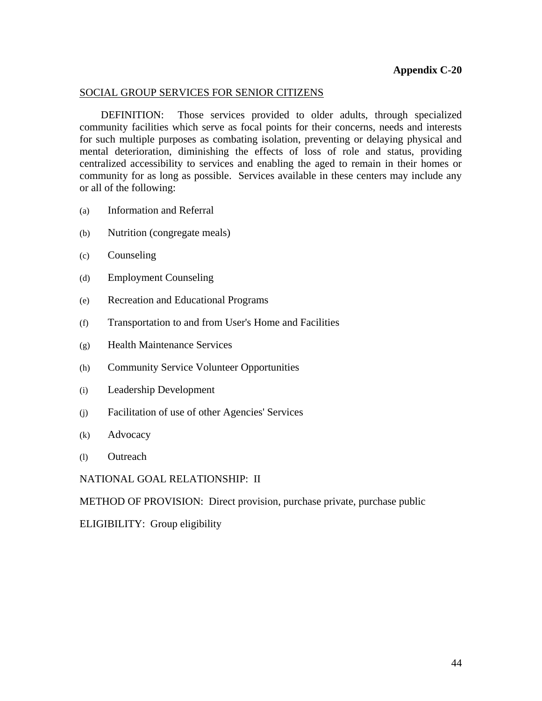## SOCIAL GROUP SERVICES FOR SENIOR CITIZENS

DEFINITION: Those services provided to older adults, through specialized community facilities which serve as focal points for their concerns, needs and interests for such multiple purposes as combating isolation, preventing or delaying physical and mental deterioration, diminishing the effects of loss of role and status, providing centralized accessibility to services and enabling the aged to remain in their homes or community for as long as possible. Services available in these centers may include any or all of the following:

- (a) Information and Referral
- (b) Nutrition (congregate meals)
- (c) Counseling
- (d) Employment Counseling
- (e) Recreation and Educational Programs
- (f) Transportation to and from User's Home and Facilities
- (g) Health Maintenance Services
- (h) Community Service Volunteer Opportunities
- (i) Leadership Development
- (j) Facilitation of use of other Agencies' Services
- (k) Advocacy
- (l) Outreach

NATIONAL GOAL RELATIONSHIP: II

METHOD OF PROVISION: Direct provision, purchase private, purchase public

ELIGIBILITY: Group eligibility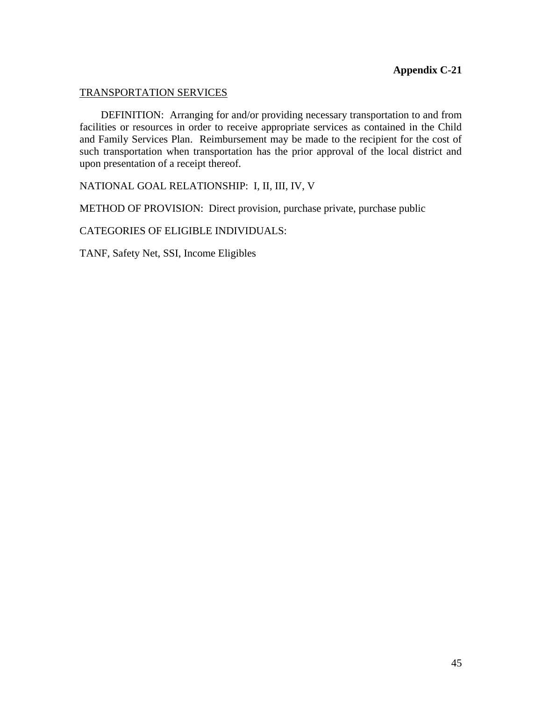## TRANSPORTATION SERVICES

DEFINITION: Arranging for and/or providing necessary transportation to and from facilities or resources in order to receive appropriate services as contained in the Child and Family Services Plan. Reimbursement may be made to the recipient for the cost of such transportation when transportation has the prior approval of the local district and upon presentation of a receipt thereof.

NATIONAL GOAL RELATIONSHIP: I, II, III, IV, V

METHOD OF PROVISION: Direct provision, purchase private, purchase public

CATEGORIES OF ELIGIBLE INDIVIDUALS:

TANF, Safety Net, SSI, Income Eligibles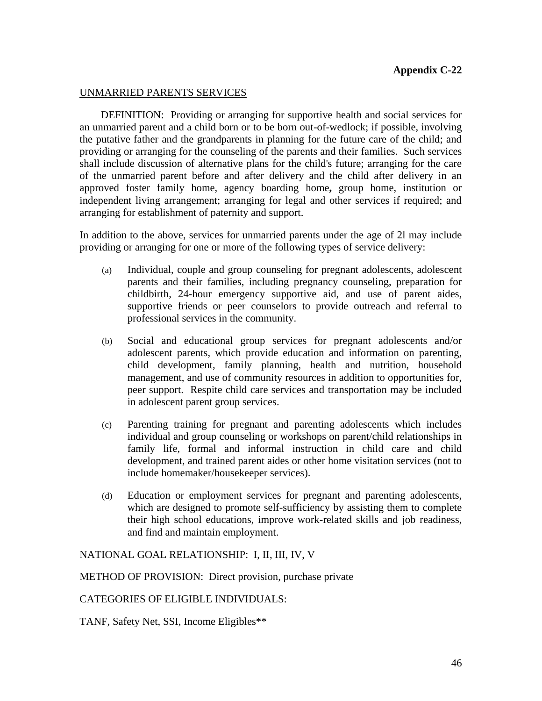#### UNMARRIED PARENTS SERVICES

DEFINITION: Providing or arranging for supportive health and social services for an unmarried parent and a child born or to be born out-of-wedlock; if possible, involving the putative father and the grandparents in planning for the future care of the child; and providing or arranging for the counseling of the parents and their families. Such services shall include discussion of alternative plans for the child's future; arranging for the care of the unmarried parent before and after delivery and the child after delivery in an approved foster family home, agency boarding home**,** group home, institution or independent living arrangement; arranging for legal and other services if required; and arranging for establishment of paternity and support.

In addition to the above, services for unmarried parents under the age of 2l may include providing or arranging for one or more of the following types of service delivery:

- (a) Individual, couple and group counseling for pregnant adolescents, adolescent parents and their families, including pregnancy counseling, preparation for childbirth, 24-hour emergency supportive aid, and use of parent aides, supportive friends or peer counselors to provide outreach and referral to professional services in the community.
- (b) Social and educational group services for pregnant adolescents and/or adolescent parents, which provide education and information on parenting, child development, family planning, health and nutrition, household management, and use of community resources in addition to opportunities for, peer support. Respite child care services and transportation may be included in adolescent parent group services.
- (c) Parenting training for pregnant and parenting adolescents which includes individual and group counseling or workshops on parent/child relationships in family life, formal and informal instruction in child care and child development, and trained parent aides or other home visitation services (not to include homemaker/housekeeper services).
- (d) Education or employment services for pregnant and parenting adolescents, which are designed to promote self-sufficiency by assisting them to complete their high school educations, improve work-related skills and job readiness, and find and maintain employment.

NATIONAL GOAL RELATIONSHIP: I, II, III, IV, V

METHOD OF PROVISION: Direct provision, purchase private

CATEGORIES OF ELIGIBLE INDIVIDUALS:

TANF, Safety Net, SSI, Income Eligibles\*\*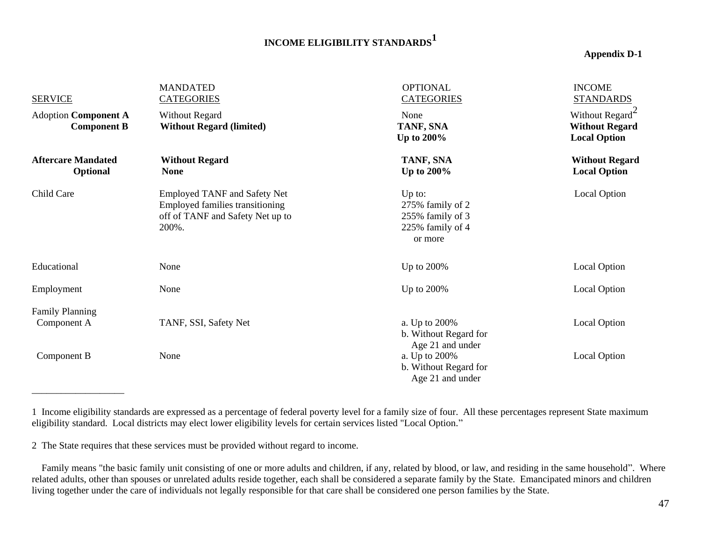# **INCOME ELIGIBILITY STANDARDS<sup>1</sup>**

#### **Appendix D-1**

| <b>SERVICE</b>                                    | <b>MANDATED</b><br><b>CATEGORIES</b>                                                                                | <b>OPTIONAL</b><br><b>CATEGORIES</b>                                          | <b>INCOME</b><br><b>STANDARDS</b>                                           |
|---------------------------------------------------|---------------------------------------------------------------------------------------------------------------------|-------------------------------------------------------------------------------|-----------------------------------------------------------------------------|
| <b>Adoption Component A</b><br><b>Component B</b> | <b>Without Regard</b><br><b>Without Regard (limited)</b>                                                            | None<br>TANF, SNA<br>Up to 200%                                               | Without Regard <sup>2</sup><br><b>Without Regard</b><br><b>Local Option</b> |
| <b>Aftercare Mandated</b><br>Optional             | <b>Without Regard</b><br><b>None</b>                                                                                | TANF, SNA<br><b>Up to 200%</b>                                                | <b>Without Regard</b><br><b>Local Option</b>                                |
| Child Care                                        | <b>Employed TANF and Safety Net</b><br>Employed families transitioning<br>off of TANF and Safety Net up to<br>200%. | Up to:<br>275% family of 2<br>255% family of 3<br>225% family of 4<br>or more | Local Option                                                                |
| Educational                                       | None                                                                                                                | Up to 200%                                                                    | <b>Local Option</b>                                                         |
| Employment                                        | None                                                                                                                | Up to 200%                                                                    | Local Option                                                                |
| <b>Family Planning</b><br>Component A             | TANF, SSI, Safety Net                                                                                               | a. Up to 200%<br>b. Without Regard for<br>Age 21 and under                    | Local Option                                                                |
| Component B                                       | None                                                                                                                | a. Up to 200%<br>b. Without Regard for<br>Age 21 and under                    | Local Option                                                                |

<sup>1</sup> Income eligibility standards are expressed as a percentage of federal poverty level for a family size of four. All these percentages represent State maximum eligibility standard. Local districts may elect lower eligibility levels for certain services listed "Local Option."

2 The State requires that these services must be provided without regard to income.

 Family means "the basic family unit consisting of one or more adults and children, if any, related by blood, or law, and residing in the same household". Where related adults, other than spouses or unrelated adults reside together, each shall be considered a separate family by the State. Emancipated minors and children living together under the care of individuals not legally responsible for that care shall be considered one person families by the State.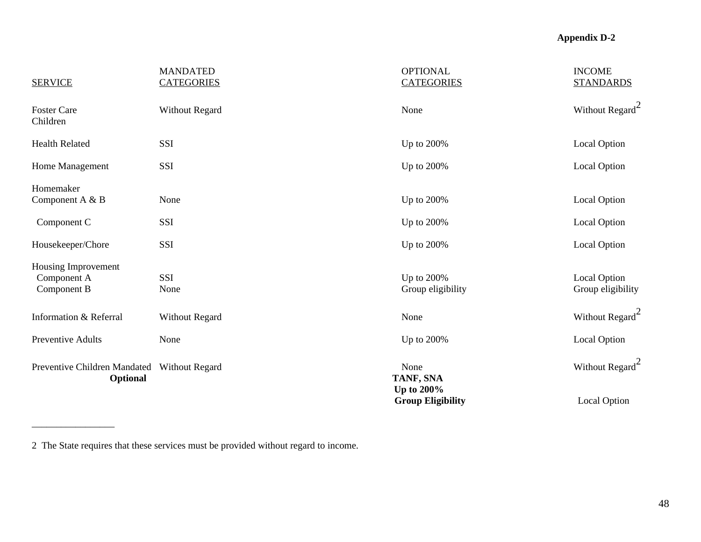| <b>SERVICE</b>                                    | <b>MANDATED</b><br><b>CATEGORIES</b> | <b>OPTIONAL</b><br><b>CATEGORIES</b>          | <b>INCOME</b><br><b>STANDARDS</b> |  |
|---------------------------------------------------|--------------------------------------|-----------------------------------------------|-----------------------------------|--|
| <b>Foster Care</b><br>Children                    | Without Regard                       | None                                          | Without Regard <sup>2</sup>       |  |
| <b>Health Related</b>                             | SSI                                  | Up to 200%                                    | Local Option                      |  |
| Home Management                                   | <b>SSI</b>                           | Up to 200%                                    | Local Option                      |  |
| Homemaker<br>Component A & B                      | None                                 | Up to 200%                                    | Local Option                      |  |
| Component C                                       | <b>SSI</b>                           | Up to 200%                                    | Local Option                      |  |
| Housekeeper/Chore                                 | SSI                                  | Up to 200%                                    | Local Option                      |  |
| Housing Improvement<br>Component A<br>Component B | <b>SSI</b><br>None                   | Up to 200%<br>Group eligibility               | Local Option<br>Group eligibility |  |
| Information & Referral                            | <b>Without Regard</b>                | None                                          | Without Regard <sup>2</sup>       |  |
| Preventive Adults                                 | None                                 | Up to 200%                                    | Local Option                      |  |
| Preventive Children Mandated<br>Optional          | <b>Without Regard</b>                | None<br>TANF, SNA                             | Without Regard <sup>2</sup>       |  |
|                                                   |                                      | <b>Up to 200%</b><br><b>Group Eligibility</b> | <b>Local Option</b>               |  |

2 The State requires that these services must be provided without regard to income.

\_\_\_\_\_\_\_\_\_\_\_\_\_\_\_\_\_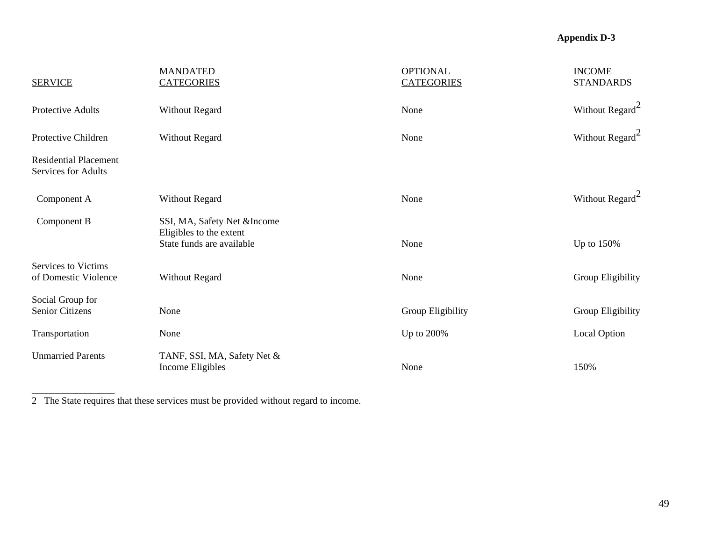| <b>SERVICE</b>                                      | <b>MANDATED</b><br><b>CATEGORIES</b>                                                | <b>OPTIONAL</b><br><b>CATEGORIES</b> | <b>INCOME</b><br><b>STANDARDS</b> |
|-----------------------------------------------------|-------------------------------------------------------------------------------------|--------------------------------------|-----------------------------------|
| Protective Adults                                   | <b>Without Regard</b>                                                               | None                                 | Without $\text{Regard}^2$         |
| Protective Children                                 | <b>Without Regard</b>                                                               | None                                 | Without Regard <sup>2</sup>       |
| <b>Residential Placement</b><br>Services for Adults |                                                                                     |                                      |                                   |
| Component A                                         | <b>Without Regard</b>                                                               | None                                 | Without Regard <sup>2</sup>       |
| Component B                                         | SSI, MA, Safety Net &Income<br>Eligibles to the extent<br>State funds are available | None                                 | Up to $150\%$                     |
| Services to Victims<br>of Domestic Violence         | <b>Without Regard</b>                                                               | None                                 | Group Eligibility                 |
| Social Group for<br>Senior Citizens                 | None                                                                                | Group Eligibility                    | Group Eligibility                 |
| Transportation                                      | None                                                                                | Up to 200%                           | Local Option                      |
| <b>Unmarried Parents</b>                            | TANF, SSI, MA, Safety Net &<br>Income Eligibles                                     | None                                 | 150%                              |

2 The State requires that these services must be provided without regard to income.

\_\_\_\_\_\_\_\_\_\_\_\_\_\_\_\_\_